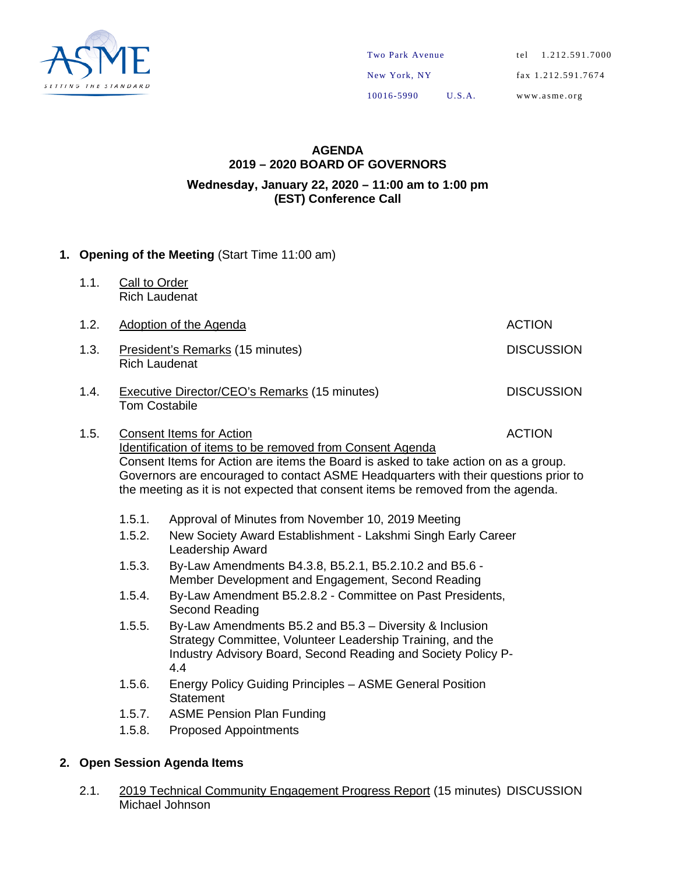

#### **AGENDA 2019 – 2020 BOARD OF GOVERNORS Wednesday, January 22, 2020 – 11:00 am to 1:00 pm (EST) Conference Call**

#### **1. Opening of the Meeting** (Start Time 11:00 am)

1.1. Call to Order Rich Laudenat

| 1.2. | Adoption of the Agenda                                                                                                                                                                                                                                                                                                                                         | <b>ACTION</b>     |
|------|----------------------------------------------------------------------------------------------------------------------------------------------------------------------------------------------------------------------------------------------------------------------------------------------------------------------------------------------------------------|-------------------|
| 1.3. | President's Remarks (15 minutes)<br><b>Rich Laudenat</b>                                                                                                                                                                                                                                                                                                       | <b>DISCUSSION</b> |
| 1.4. | Executive Director/CEO's Remarks (15 minutes)<br><b>Tom Costabile</b>                                                                                                                                                                                                                                                                                          | <b>DISCUSSION</b> |
| 1.5. | <b>Consent Items for Action</b><br>Identification of items to be removed from Consent Agenda<br>Consent Items for Action are items the Board is asked to take action on as a group.<br>Governors are encouraged to contact ASME Headquarters with their questions prior to<br>the meeting as it is not expected that consent items be removed from the agenda. | <b>ACTION</b>     |

1.5.1. Approval of Minutes from November 10, 2019 Meeting

- 1.5.2. New Society Award Establishment Lakshmi Singh Early Career Leadership Award
- 1.5.3. By-Law Amendments B4.3.8, B5.2.1, B5.2.10.2 and B5.6 Member Development and Engagement, Second Reading
- 1.5.4. By-Law Amendment B5.2.8.2 Committee on Past Presidents, Second Reading
- 1.5.5. By-Law Amendments B5.2 and B5.3 Diversity & Inclusion Strategy Committee, Volunteer Leadership Training, and the Industry Advisory Board, Second Reading and Society Policy P-4.4
- 1.5.6. Energy Policy Guiding Principles ASME General Position **Statement**
- 1.5.7. ASME Pension Plan Funding
- 1.5.8. Proposed Appointments

#### **2. Open Session Agenda Items**

2.1. 2019 Technical Community Engagement Progress Report (15 minutes) DISCUSSION Michael Johnson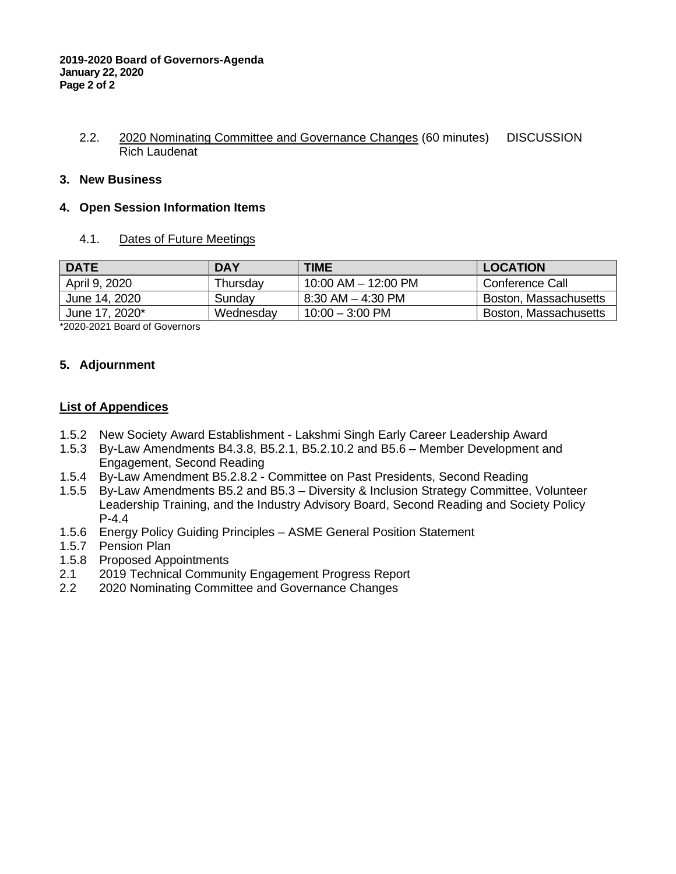#### 2.2. 2020 Nominating Committee and Governance Changes (60 minutes) DISCUSSION Rich Laudenat

#### **3. New Business**

#### **4. Open Session Information Items**

4.1. Dates of Future Meetings

| <b>DATE</b>    | <b>DAY</b> | TIME                      | <b>LOCATION</b>       |
|----------------|------------|---------------------------|-----------------------|
| April 9, 2020  | Thursday   | 10:00 AM $-$ 12:00 PM     | Conference Call       |
| June 14, 2020  | Sunday     | 8:30 AM – 4:30 PM         | Boston, Massachusetts |
| June 17, 2020* | Wednesday  | $10:00 - 3:00 \text{ PM}$ | Boston, Massachusetts |

\*2020-2021 Board of Governors

#### **5. Adjournment**

#### **List of Appendices**

- 1.5.2 New Society Award Establishment Lakshmi Singh Early Career Leadership Award
- 1.5.3 By-Law Amendments B4.3.8, B5.2.1, B5.2.10.2 and B5.6 Member Development and Engagement, Second Reading
- 1.5.4 By-Law Amendment B5.2.8.2 Committee on Past Presidents, Second Reading
- 1.5.5 By-Law Amendments B5.2 and B5.3 Diversity & Inclusion Strategy Committee, Volunteer Leadership Training, and the Industry Advisory Board, Second Reading and Society Policy P-4.4
- 1.5.6 Energy Policy Guiding Principles ASME General Position Statement
- 1.5.7 Pension Plan
- 1.5.8 Proposed Appointments
- 2.1 2019 Technical Community Engagement Progress Report
- 2.2 2020 Nominating Committee and Governance Changes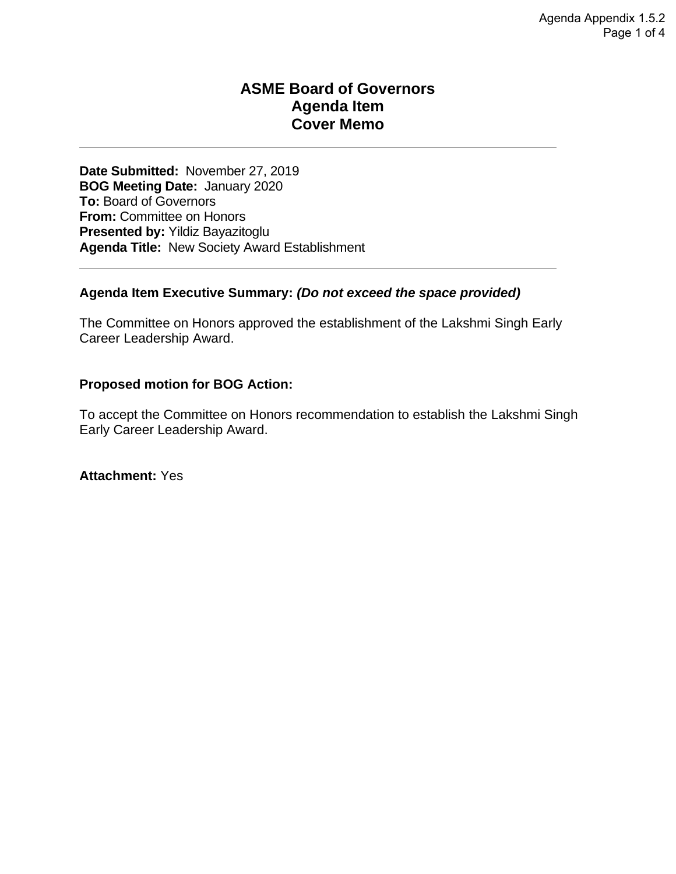### **ASME Board of Governors Agenda Item Cover Memo**

**Date Submitted:** November 27, 2019 **BOG Meeting Date:** January 2020 **To:** Board of Governors **From:** Committee on Honors **Presented by:** Yildiz Bayazitoglu **Agenda Title:** New Society Award Establishment

#### **Agenda Item Executive Summary:** *(Do not exceed the space provided)*

The Committee on Honors approved the establishment of the Lakshmi Singh Early Career Leadership Award.

#### **Proposed motion for BOG Action:**

To accept the Committee on Honors recommendation to establish the Lakshmi Singh Early Career Leadership Award.

**Attachment:** Yes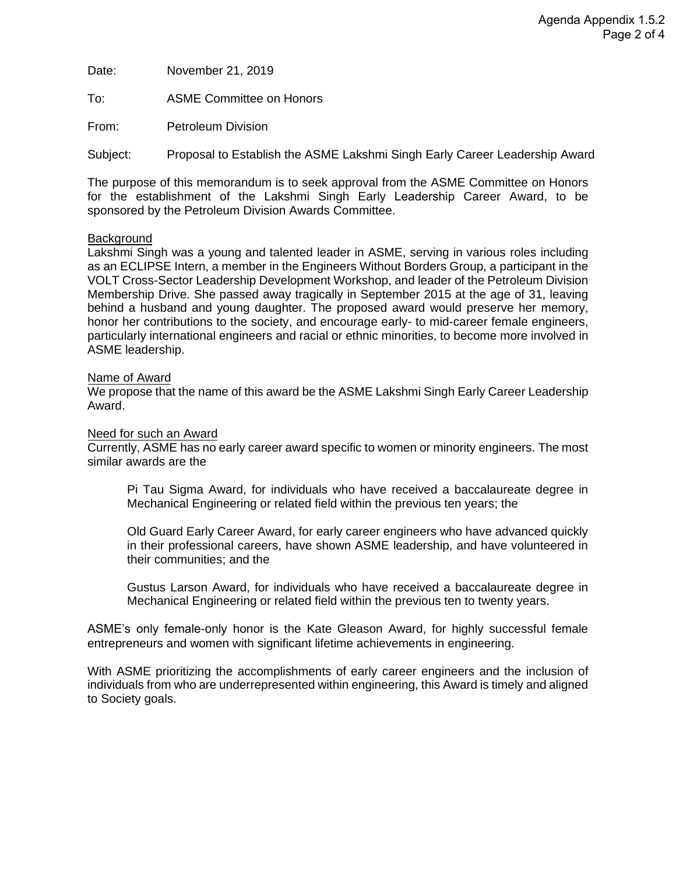Date: November 21, 2019

To: ASME Committee on Honors

From: Petroleum Division

Subject: Proposal to Establish the ASME Lakshmi Singh Early Career Leadership Award

The purpose of this memorandum is to seek approval from the ASME Committee on Honors for the establishment of the Lakshmi Singh Early Leadership Career Award, to be sponsored by the Petroleum Division Awards Committee.

#### **Background**

Lakshmi Singh was a young and talented leader in ASME, serving in various roles including as an ECLIPSE Intern, a member in the Engineers Without Borders Group, a participant in the VOLT Cross-Sector Leadership Development Workshop, and leader of the Petroleum Division Membership Drive. She passed away tragically in September 2015 at the age of 31, leaving behind a husband and young daughter. The proposed award would preserve her memory, honor her contributions to the society, and encourage early- to mid-career female engineers, particularly international engineers and racial or ethnic minorities, to become more involved in ASME leadership.

#### Name of Award

We propose that the name of this award be the ASME Lakshmi Singh Early Career Leadership Award.

#### Need for such an Award

Currently, ASME has no early career award specific to women or minority engineers. The most similar awards are the

Pi Tau Sigma Award, for individuals who have received a baccalaureate degree in Mechanical Engineering or related field within the previous ten years; the

Old Guard Early Career Award, for early career engineers who have advanced quickly in their professional careers, have shown ASME leadership, and have volunteered in their communities; and the

Gustus Larson Award, for individuals who have received a baccalaureate degree in Mechanical Engineering or related field within the previous ten to twenty years.

ASME's only female-only honor is the Kate Gleason Award, for highly successful female entrepreneurs and women with significant lifetime achievements in engineering.

With ASME prioritizing the accomplishments of early career engineers and the inclusion of individuals from who are underrepresented within engineering, this Award is timely and aligned to Society goals.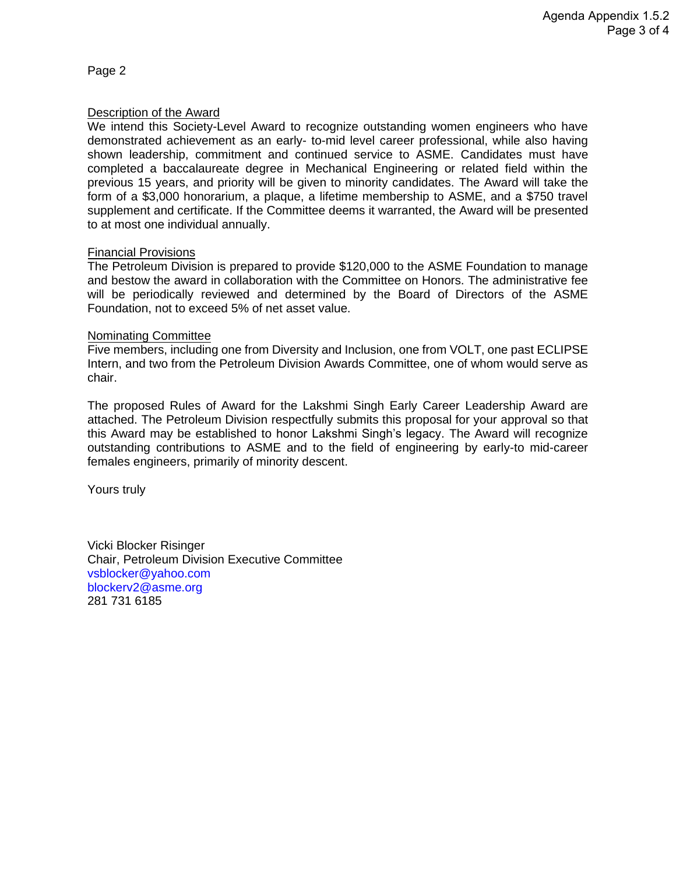Page 2

#### Description of the Award

We intend this Society-Level Award to recognize outstanding women engineers who have demonstrated achievement as an early- to-mid level career professional, while also having shown leadership, commitment and continued service to ASME. Candidates must have completed a baccalaureate degree in Mechanical Engineering or related field within the previous 15 years, and priority will be given to minority candidates. The Award will take the form of a \$3,000 honorarium, a plaque, a lifetime membership to ASME, and a \$750 travel supplement and certificate. If the Committee deems it warranted, the Award will be presented to at most one individual annually.

#### Financial Provisions

The Petroleum Division is prepared to provide \$120,000 to the ASME Foundation to manage and bestow the award in collaboration with the Committee on Honors. The administrative fee will be periodically reviewed and determined by the Board of Directors of the ASME Foundation, not to exceed 5% of net asset value.

#### Nominating Committee

Five members, including one from Diversity and Inclusion, one from VOLT, one past ECLIPSE Intern, and two from the Petroleum Division Awards Committee, one of whom would serve as chair.

The proposed Rules of Award for the Lakshmi Singh Early Career Leadership Award are attached. The Petroleum Division respectfully submits this proposal for your approval so that this Award may be established to honor Lakshmi Singh's legacy. The Award will recognize outstanding contributions to ASME and to the field of engineering by early-to mid-career females engineers, primarily of minority descent.

Yours truly

Vicki Blocker Risinger Chair, Petroleum Division Executive Committee [vsblocker@yahoo.com](mailto:vsblocker@yahoo.com) [blockerv2@asme.org](mailto:blockerv2@asme.org) 281 731 6185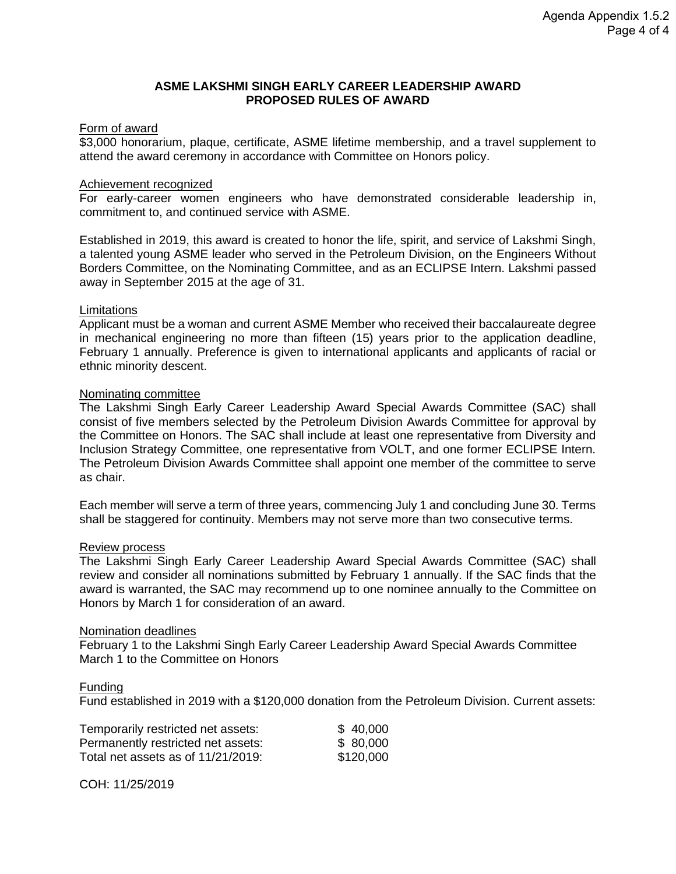#### **ASME LAKSHMI SINGH EARLY CAREER LEADERSHIP AWARD PROPOSED RULES OF AWARD**

#### Form of award

\$3,000 honorarium, plaque, certificate, ASME lifetime membership, and a travel supplement to attend the award ceremony in accordance with Committee on Honors policy.

#### Achievement recognized

For early-career women engineers who have demonstrated considerable leadership in, commitment to, and continued service with ASME.

Established in 2019, this award is created to honor the life, spirit, and service of Lakshmi Singh, a talented young ASME leader who served in the Petroleum Division, on the Engineers Without Borders Committee, on the Nominating Committee, and as an ECLIPSE Intern. Lakshmi passed away in September 2015 at the age of 31.

#### Limitations

Applicant must be a woman and current ASME Member who received their baccalaureate degree in mechanical engineering no more than fifteen (15) years prior to the application deadline, February 1 annually. Preference is given to international applicants and applicants of racial or ethnic minority descent.

#### Nominating committee

The Lakshmi Singh Early Career Leadership Award Special Awards Committee (SAC) shall consist of five members selected by the Petroleum Division Awards Committee for approval by the Committee on Honors. The SAC shall include at least one representative from Diversity and Inclusion Strategy Committee, one representative from VOLT, and one former ECLIPSE Intern. The Petroleum Division Awards Committee shall appoint one member of the committee to serve as chair.

Each member will serve a term of three years, commencing July 1 and concluding June 30. Terms shall be staggered for continuity. Members may not serve more than two consecutive terms.

#### Review process

The Lakshmi Singh Early Career Leadership Award Special Awards Committee (SAC) shall review and consider all nominations submitted by February 1 annually. If the SAC finds that the award is warranted, the SAC may recommend up to one nominee annually to the Committee on Honors by March 1 for consideration of an award.

#### Nomination deadlines

February 1 to the Lakshmi Singh Early Career Leadership Award Special Awards Committee March 1 to the Committee on Honors

#### Funding

Fund established in 2019 with a \$120,000 donation from the Petroleum Division. Current assets:

| Temporarily restricted net assets: | \$40,000  |
|------------------------------------|-----------|
| Permanently restricted net assets: | \$80,000  |
| Total net assets as of 11/21/2019: | \$120,000 |

COH: 11/25/2019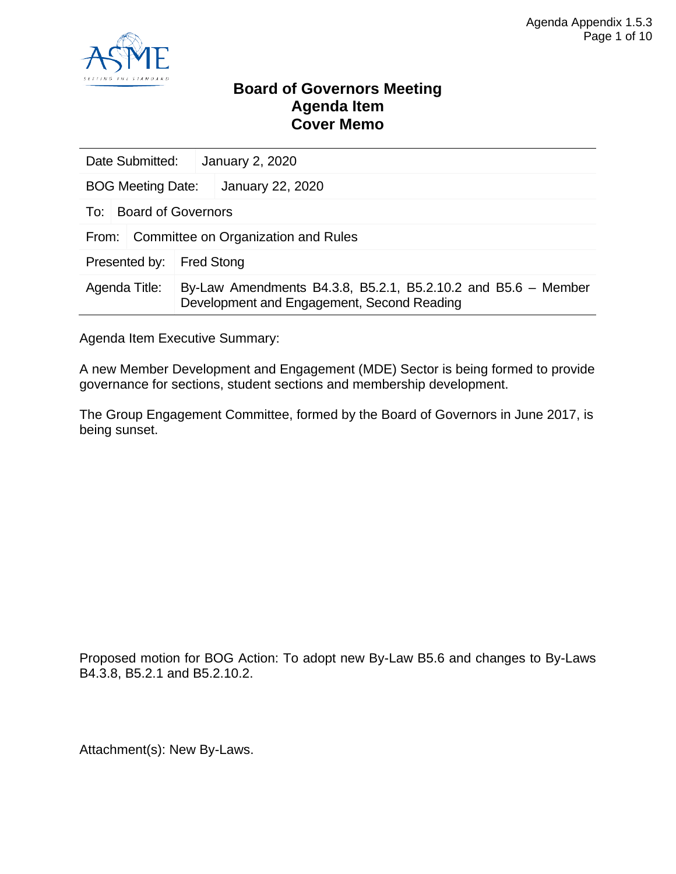

### **Board of Governors Meeting Agenda Item Cover Memo**

| Date Submitted:                              |                           |                   | <b>January 2, 2020</b>                                                                                      |  |
|----------------------------------------------|---------------------------|-------------------|-------------------------------------------------------------------------------------------------------------|--|
| <b>BOG Meeting Date:</b>                     |                           |                   | January 22, 2020                                                                                            |  |
| To:                                          | <b>Board of Governors</b> |                   |                                                                                                             |  |
| Committee on Organization and Rules<br>From: |                           |                   |                                                                                                             |  |
| Presented by:                                |                           | <b>Fred Stong</b> |                                                                                                             |  |
| Agenda Title:                                |                           |                   | By-Law Amendments B4.3.8, B5.2.1, B5.2.10.2 and B5.6 - Member<br>Development and Engagement, Second Reading |  |

Agenda Item Executive Summary:

A new Member Development and Engagement (MDE) Sector is being formed to provide governance for sections, student sections and membership development.

The Group Engagement Committee, formed by the Board of Governors in June 2017, is being sunset.

Proposed motion for BOG Action: To adopt new By-Law B5.6 and changes to By-Laws B4.3.8, B5.2.1 and B5.2.10.2.

Attachment(s): New By-Laws.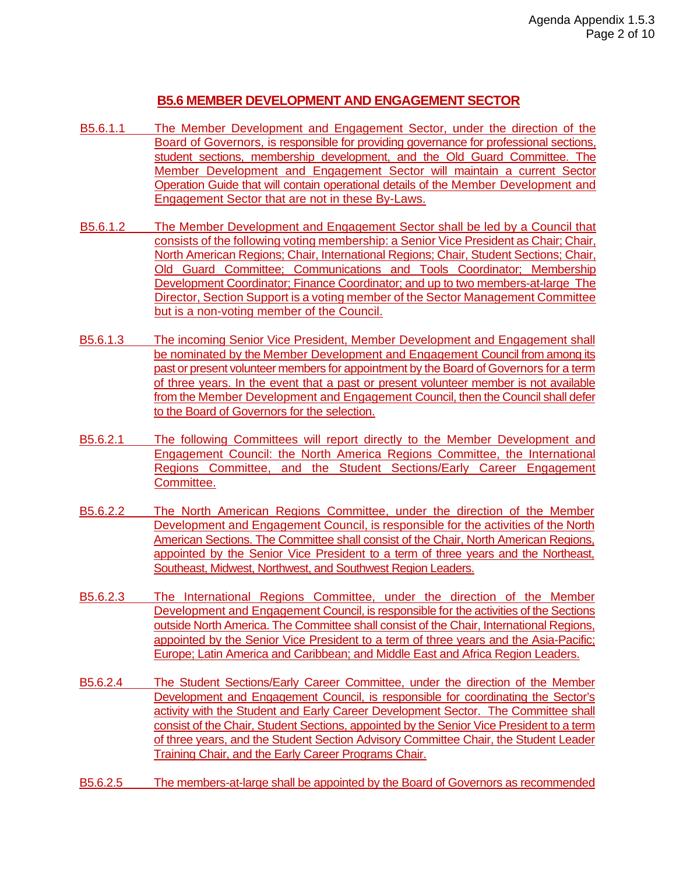#### **B5.6 MEMBER DEVELOPMENT AND ENGAGEMENT SECTOR**

- B5.6.1.1 The Member Development and Engagement Sector, under the direction of the Board of Governors, is responsible for providing governance for professional sections, student sections, membership development, and the Old Guard Committee. The Member Development and Engagement Sector will maintain a current Sector Operation Guide that will contain operational details of the Member Development and Engagement Sector that are not in these By-Laws.
- B5.6.1.2 The Member Development and Engagement Sector shall be led by a Council that consists of the following voting membership: a Senior Vice President as Chair; Chair, North American Regions; Chair, International Regions; Chair, Student Sections; Chair, Old Guard Committee; Communications and Tools Coordinator; Membership Development Coordinator; Finance Coordinator; and up to two members-at-large The Director, Section Support is a voting member of the Sector Management Committee but is a non-voting member of the Council.
- B5.6.1.3 The incoming Senior Vice President, Member Development and Engagement shall be nominated by the Member Development and Engagement Council from among its past or present volunteer members for appointment by the Board of Governors for a term of three years. In the event that a past or present volunteer member is not available from the Member Development and Engagement Council, then the Council shall defer to the Board of Governors for the selection.
- B5.6.2.1 The following Committees will report directly to the Member Development and Engagement Council: the North America Regions Committee, the International Regions Committee, and the Student Sections/Early Career Engagement Committee.
- B5.6.2.2 The North American Regions Committee, under the direction of the Member Development and Engagement Council, is responsible for the activities of the North American Sections. The Committee shall consist of the Chair, North American Regions, appointed by the Senior Vice President to a term of three years and the Northeast, Southeast, Midwest, Northwest, and Southwest Region Leaders.
- B5.6.2.3 The International Regions Committee, under the direction of the Member Development and Engagement Council, is responsible for the activities of the Sections outside North America. The Committee shall consist of the Chair, International Regions, appointed by the Senior Vice President to a term of three years and the Asia-Pacific; Europe; Latin America and Caribbean; and Middle East and Africa Region Leaders.
- B5.6.2.4 The Student Sections/Early Career Committee, under the direction of the Member Development and Engagement Council, is responsible for coordinating the Sector's activity with the Student and Early Career Development Sector. The Committee shall consist of the Chair, Student Sections, appointed by the Senior Vice President to a term of three years, and the Student Section Advisory Committee Chair, the Student Leader Training Chair, and the Early Career Programs Chair.
- B5.6.2.5 The members-at-large shall be appointed by the Board of Governors as recommended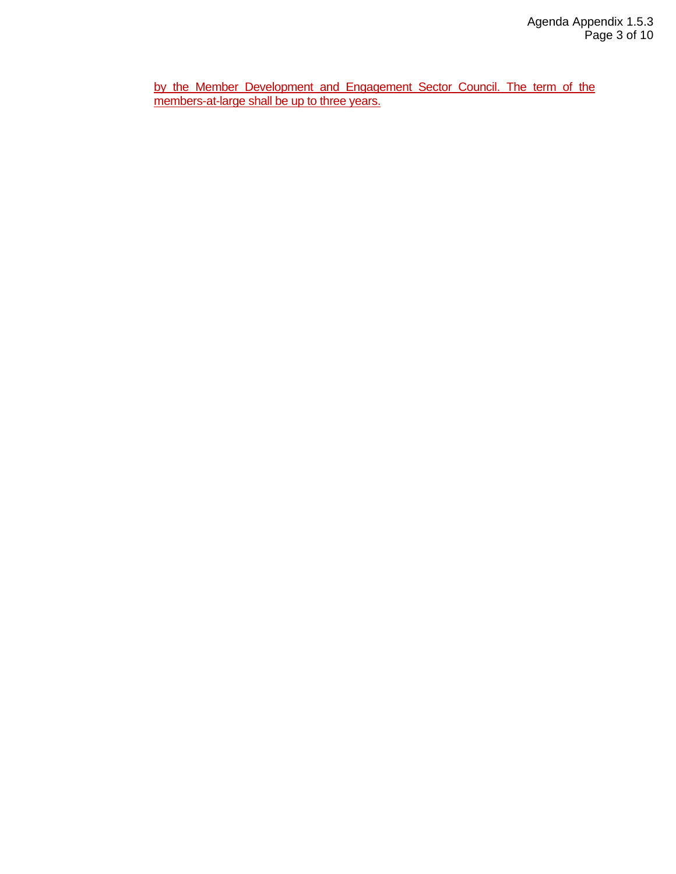by the Member Development and Engagement Sector Council. The term of the members-at-large shall be up to three years.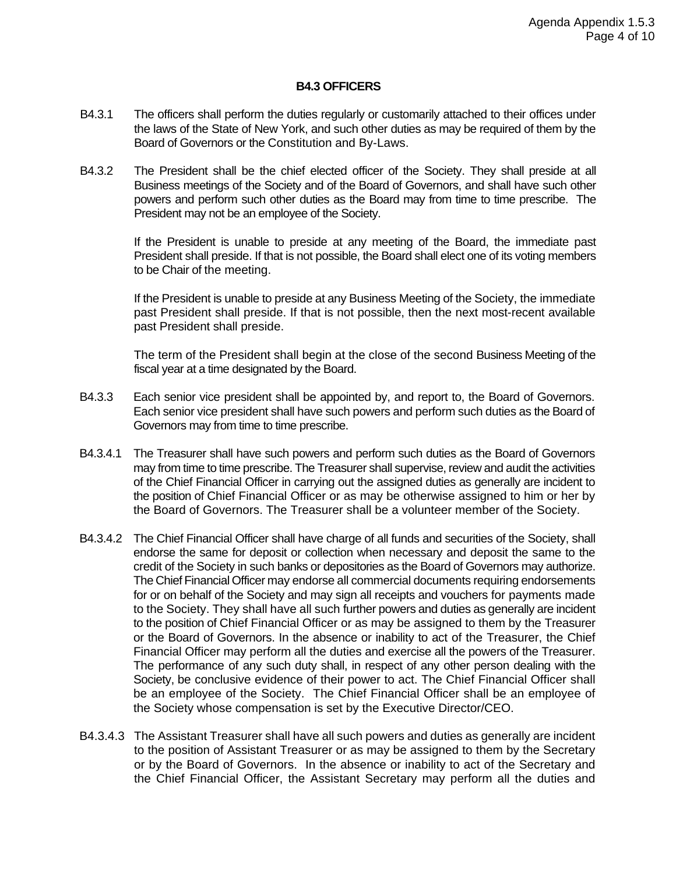#### **B4.3 OFFICERS**

- B4.3.1 The officers shall perform the duties regularly or customarily attached to their offices under the laws of the State of New York, and such other duties as may be required of them by the Board of Governors or the Constitution and By-Laws.
- B4.3.2 The President shall be the chief elected officer of the Society. They shall preside at all Business meetings of the Society and of the Board of Governors, and shall have such other powers and perform such other duties as the Board may from time to time prescribe. The President may not be an employee of the Society.

If the President is unable to preside at any meeting of the Board, the immediate past President shall preside. If that is not possible, the Board shall elect one of its voting members to be Chair of the meeting.

If the President is unable to preside at any Business Meeting of the Society, the immediate past President shall preside. If that is not possible, then the next most-recent available past President shall preside.

The term of the President shall begin at the close of the second Business Meeting of the fiscal year at a time designated by the Board.

- B4.3.3 Each senior vice president shall be appointed by, and report to, the Board of Governors. Each senior vice president shall have such powers and perform such duties as the Board of Governors may from time to time prescribe.
- B4.3.4.1 The Treasurer shall have such powers and perform such duties as the Board of Governors may from time to time prescribe. The Treasurer shall supervise, review and audit the activities of the Chief Financial Officer in carrying out the assigned duties as generally are incident to the position of Chief Financial Officer or as may be otherwise assigned to him or her by the Board of Governors. The Treasurer shall be a volunteer member of the Society.
- B4.3.4.2 The Chief Financial Officer shall have charge of all funds and securities of the Society, shall endorse the same for deposit or collection when necessary and deposit the same to the credit of the Society in such banks or depositories as the Board of Governors may authorize. The Chief Financial Officer may endorse all commercial documents requiring endorsements for or on behalf of the Society and may sign all receipts and vouchers for payments made to the Society. They shall have all such further powers and duties as generally are incident to the position of Chief Financial Officer or as may be assigned to them by the Treasurer or the Board of Governors. In the absence or inability to act of the Treasurer, the Chief Financial Officer may perform all the duties and exercise all the powers of the Treasurer. The performance of any such duty shall, in respect of any other person dealing with the Society, be conclusive evidence of their power to act. The Chief Financial Officer shall be an employee of the Society. The Chief Financial Officer shall be an employee of the Society whose compensation is set by the Executive Director/CEO.
- B4.3.4.3 The Assistant Treasurer shall have all such powers and duties as generally are incident to the position of Assistant Treasurer or as may be assigned to them by the Secretary or by the Board of Governors. In the absence or inability to act of the Secretary and the Chief Financial Officer, the Assistant Secretary may perform all the duties and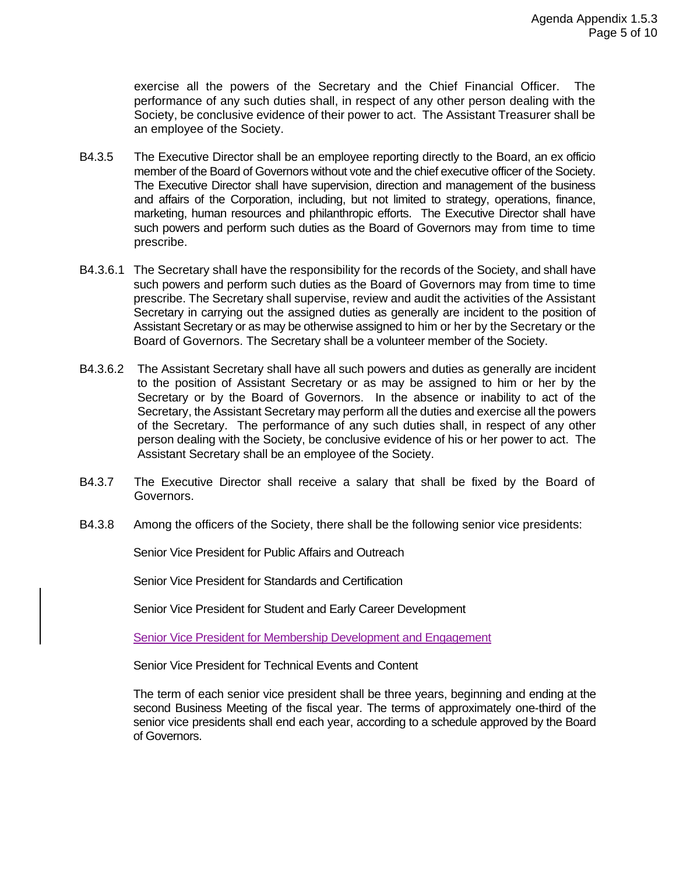exercise all the powers of the Secretary and the Chief Financial Officer. The performance of any such duties shall, in respect of any other person dealing with the Society, be conclusive evidence of their power to act. The Assistant Treasurer shall be an employee of the Society.

- B4.3.5 The Executive Director shall be an employee reporting directly to the Board, an ex officio member of the Board of Governors without vote and the chief executive officer of the Society. The Executive Director shall have supervision, direction and management of the business and affairs of the Corporation, including, but not limited to strategy, operations, finance, marketing, human resources and philanthropic efforts. The Executive Director shall have such powers and perform such duties as the Board of Governors may from time to time prescribe.
- B4.3.6.1 The Secretary shall have the responsibility for the records of the Society, and shall have such powers and perform such duties as the Board of Governors may from time to time prescribe. The Secretary shall supervise, review and audit the activities of the Assistant Secretary in carrying out the assigned duties as generally are incident to the position of Assistant Secretary or as may be otherwise assigned to him or her by the Secretary or the Board of Governors. The Secretary shall be a volunteer member of the Society.
- B4.3.6.2 The Assistant Secretary shall have all such powers and duties as generally are incident to the position of Assistant Secretary or as may be assigned to him or her by the Secretary or by the Board of Governors. In the absence or inability to act of the Secretary, the Assistant Secretary may perform all the duties and exercise all the powers of the Secretary. The performance of any such duties shall, in respect of any other person dealing with the Society, be conclusive evidence of his or her power to act. The Assistant Secretary shall be an employee of the Society.
- B4.3.7 The Executive Director shall receive a salary that shall be fixed by the Board of Governors.
- B4.3.8 Among the officers of the Society, there shall be the following senior vice presidents:

Senior Vice President for Public Affairs and Outreach

Senior Vice President for Standards and Certification

Senior Vice President for Student and Early Career Development

Senior Vice President for Membership Development and Engagement

Senior Vice President for Technical Events and Content

The term of each senior vice president shall be three years, beginning and ending at the second Business Meeting of the fiscal year. The terms of approximately one-third of the senior vice presidents shall end each year, according to a schedule approved by the Board of Governors.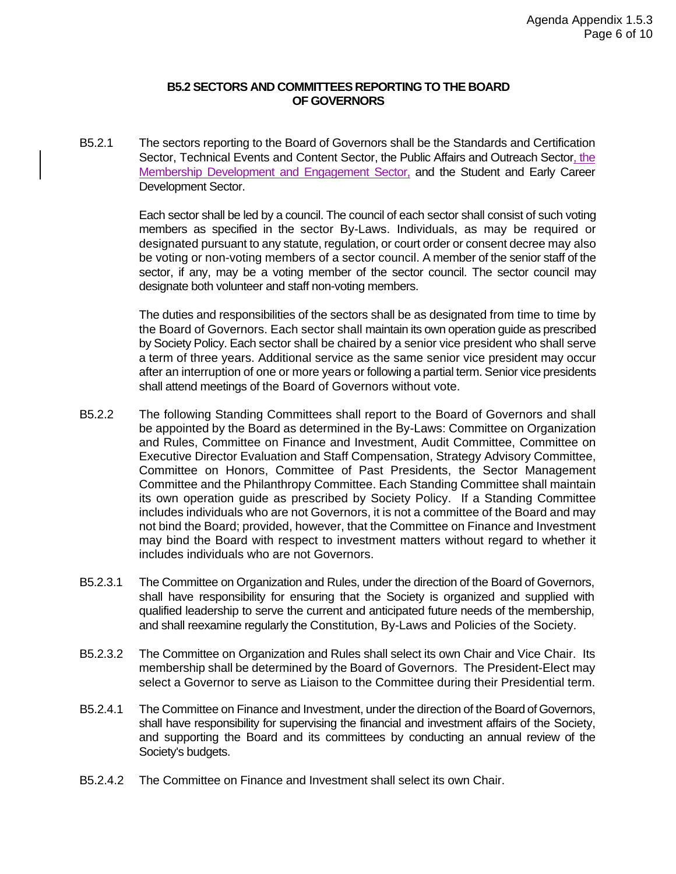#### **B5.2 SECTORS AND COMMITTEES REPORTING TO THE BOARD OF GOVERNORS**

B5.2.1 The sectors reporting to the Board of Governors shall be the Standards and Certification Sector, Technical Events and Content Sector, the Public Affairs and Outreach Sector, the Membership Development and Engagement Sector, and the Student and Early Career Development Sector.

> Each sector shall be led by a council. The council of each sector shall consist of such voting members as specified in the sector By-Laws. Individuals, as may be required or designated pursuant to any statute, regulation, or court order or consent decree may also be voting or non-voting members of a sector council. A member of the senior staff of the sector, if any, may be a voting member of the sector council. The sector council may designate both volunteer and staff non-voting members.

> The duties and responsibilities of the sectors shall be as designated from time to time by the Board of Governors. Each sector shall maintain its own operation guide as prescribed by Society Policy. Each sector shall be chaired by a senior vice president who shall serve a term of three years. Additional service as the same senior vice president may occur after an interruption of one or more years or following a partial term. Senior vice presidents shall attend meetings of the Board of Governors without vote.

- B5.2.2 The following Standing Committees shall report to the Board of Governors and shall be appointed by the Board as determined in the By-Laws: Committee on Organization and Rules, Committee on Finance and Investment, Audit Committee, Committee on Executive Director Evaluation and Staff Compensation, Strategy Advisory Committee, Committee on Honors, Committee of Past Presidents, the Sector Management Committee and the Philanthropy Committee. Each Standing Committee shall maintain its own operation guide as prescribed by Society Policy. If a Standing Committee includes individuals who are not Governors, it is not a committee of the Board and may not bind the Board; provided, however, that the Committee on Finance and Investment may bind the Board with respect to investment matters without regard to whether it includes individuals who are not Governors.
- B5.2.3.1 The Committee on Organization and Rules, under the direction of the Board of Governors, shall have responsibility for ensuring that the Society is organized and supplied with qualified leadership to serve the current and anticipated future needs of the membership, and shall reexamine regularly the Constitution, By-Laws and Policies of the Society.
- B5.2.3.2 The Committee on Organization and Rules shall select its own Chair and Vice Chair. Its membership shall be determined by the Board of Governors. The President-Elect may select a Governor to serve as Liaison to the Committee during their Presidential term.
- B5.2.4.1 The Committee on Finance and Investment, under the direction of the Board of Governors, shall have responsibility for supervising the financial and investment affairs of the Society, and supporting the Board and its committees by conducting an annual review of the Society's budgets.
- B5.2.4.2 The Committee on Finance and Investment shall select its own Chair.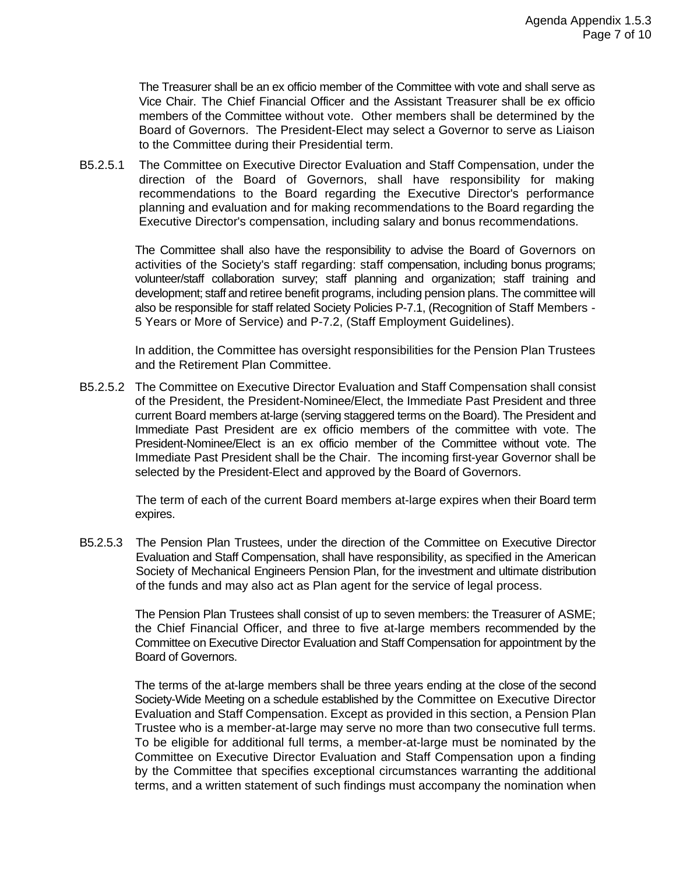The Treasurer shall be an ex officio member of the Committee with vote and shall serve as Vice Chair. The Chief Financial Officer and the Assistant Treasurer shall be ex officio members of the Committee without vote. Other members shall be determined by the Board of Governors. The President-Elect may select a Governor to serve as Liaison to the Committee during their Presidential term.

B5.2.5.1 The Committee on Executive Director Evaluation and Staff Compensation, under the direction of the Board of Governors, shall have responsibility for making recommendations to the Board regarding the Executive Director's performance planning and evaluation and for making recommendations to the Board regarding the Executive Director's compensation, including salary and bonus recommendations.

> The Committee shall also have the responsibility to advise the Board of Governors on activities of the Society's staff regarding: staff compensation, including bonus programs; volunteer/staff collaboration survey; staff planning and organization; staff training and development; staff and retiree benefit programs, including pension plans. The committee will also be responsible for staff related Society Policies P-7.1, (Recognition of Staff Members - 5 Years or More of Service) and P-7.2, (Staff Employment Guidelines).

> In addition, the Committee has oversight responsibilities for the Pension Plan Trustees and the Retirement Plan Committee.

B5.2.5.2 The Committee on Executive Director Evaluation and Staff Compensation shall consist of the President, the President-Nominee/Elect, the Immediate Past President and three current Board members at-large (serving staggered terms on the Board). The President and Immediate Past President are ex officio members of the committee with vote. The President-Nominee/Elect is an ex officio member of the Committee without vote. The Immediate Past President shall be the Chair. The incoming first-year Governor shall be selected by the President-Elect and approved by the Board of Governors.

> The term of each of the current Board members at-large expires when their Board term expires.

B5.2.5.3 The Pension Plan Trustees, under the direction of the Committee on Executive Director Evaluation and Staff Compensation, shall have responsibility, as specified in the American Society of Mechanical Engineers Pension Plan, for the investment and ultimate distribution of the funds and may also act as Plan agent for the service of legal process.

> The Pension Plan Trustees shall consist of up to seven members: the Treasurer of ASME; the Chief Financial Officer, and three to five at-large members recommended by the Committee on Executive Director Evaluation and Staff Compensation for appointment by the Board of Governors.

> The terms of the at-large members shall be three years ending at the close of the second Society-Wide Meeting on a schedule established by the Committee on Executive Director Evaluation and Staff Compensation. Except as provided in this section, a Pension Plan Trustee who is a member-at-large may serve no more than two consecutive full terms. To be eligible for additional full terms, a member-at-large must be nominated by the Committee on Executive Director Evaluation and Staff Compensation upon a finding by the Committee that specifies exceptional circumstances warranting the additional terms, and a written statement of such findings must accompany the nomination when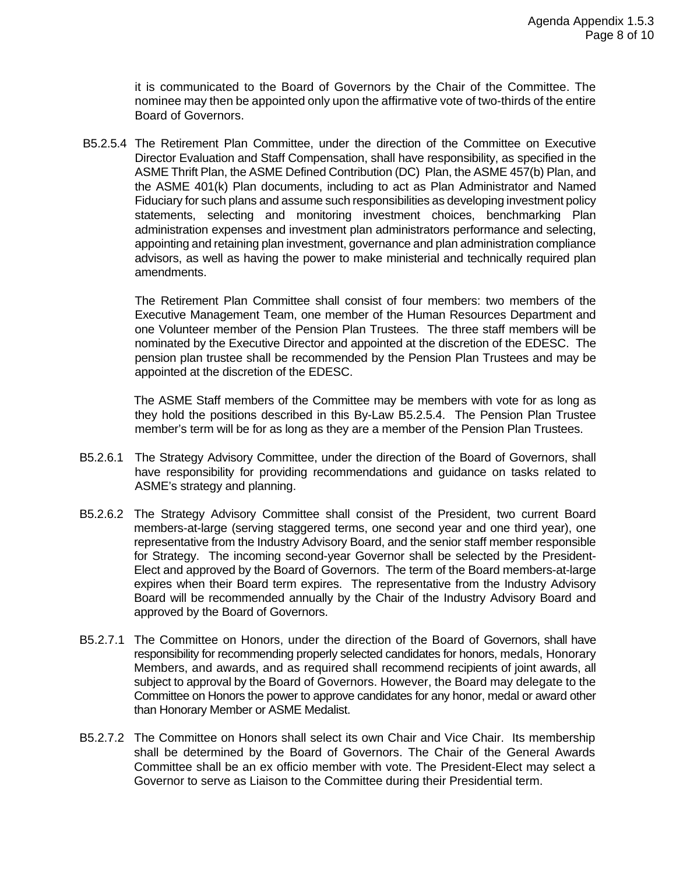it is communicated to the Board of Governors by the Chair of the Committee. The nominee may then be appointed only upon the affirmative vote of two-thirds of the entire Board of Governors.

B5.2.5.4 The Retirement Plan Committee, under the direction of the Committee on Executive Director Evaluation and Staff Compensation, shall have responsibility, as specified in the ASME Thrift Plan, the ASME Defined Contribution (DC) Plan, the ASME 457(b) Plan, and the ASME 401(k) Plan documents, including to act as Plan Administrator and Named Fiduciary for such plans and assume such responsibilities as developing investment policy statements, selecting and monitoring investment choices, benchmarking Plan administration expenses and investment plan administrators performance and selecting, appointing and retaining plan investment, governance and plan administration compliance advisors, as well as having the power to make ministerial and technically required plan amendments.

The Retirement Plan Committee shall consist of four members: two members of the Executive Management Team, one member of the Human Resources Department and one Volunteer member of the Pension Plan Trustees. The three staff members will be nominated by the Executive Director and appointed at the discretion of the EDESC. The pension plan trustee shall be recommended by the Pension Plan Trustees and may be appointed at the discretion of the EDESC.

The ASME Staff members of the Committee may be members with vote for as long as they hold the positions described in this By-Law B5.2.5.4. The Pension Plan Trustee member's term will be for as long as they are a member of the Pension Plan Trustees.

- B5.2.6.1 The Strategy Advisory Committee, under the direction of the Board of Governors, shall have responsibility for providing recommendations and guidance on tasks related to ASME's strategy and planning.
- B5.2.6.2 The Strategy Advisory Committee shall consist of the President, two current Board members-at-large (serving staggered terms, one second year and one third year), one representative from the Industry Advisory Board, and the senior staff member responsible for Strategy. The incoming second-year Governor shall be selected by the President-Elect and approved by the Board of Governors. The term of the Board members-at-large expires when their Board term expires. The representative from the Industry Advisory Board will be recommended annually by the Chair of the Industry Advisory Board and approved by the Board of Governors.
- B5.2.7.1 The Committee on Honors, under the direction of the Board of Governors, shall have responsibility for recommending properly selected candidates for honors, medals, Honorary Members, and awards, and as required shall recommend recipients of joint awards, all subject to approval by the Board of Governors. However, the Board may delegate to the Committee on Honors the power to approve candidates for any honor, medal or award other than Honorary Member or ASME Medalist.
- B5.2.7.2 The Committee on Honors shall select its own Chair and Vice Chair. Its membership shall be determined by the Board of Governors. The Chair of the General Awards Committee shall be an ex officio member with vote. The President-Elect may select a Governor to serve as Liaison to the Committee during their Presidential term.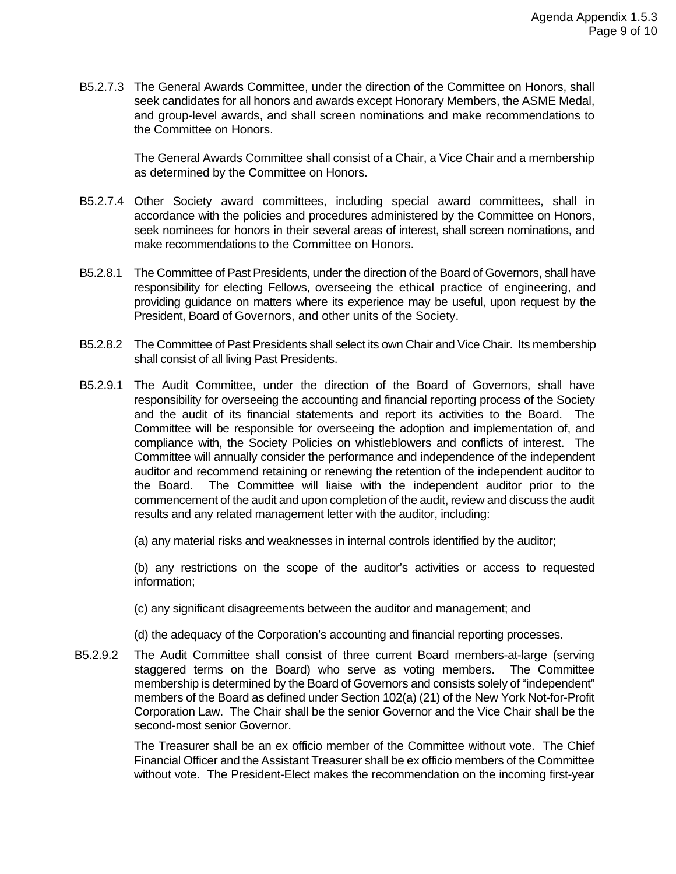B5.2.7.3 The General Awards Committee, under the direction of the Committee on Honors, shall seek candidates for all honors and awards except Honorary Members, the ASME Medal, and group-level awards, and shall screen nominations and make recommendations to the Committee on Honors.

> The General Awards Committee shall consist of a Chair, a Vice Chair and a membership as determined by the Committee on Honors.

- B5.2.7.4 Other Society award committees, including special award committees, shall in accordance with the policies and procedures administered by the Committee on Honors, seek nominees for honors in their several areas of interest, shall screen nominations, and make recommendations to the Committee on Honors.
- B5.2.8.1 The Committee of Past Presidents, under the direction of the Board of Governors, shall have responsibility for electing Fellows, overseeing the ethical practice of engineering, and providing guidance on matters where its experience may be useful, upon request by the President, Board of Governors, and other units of the Society.
- B5.2.8.2 The Committee of Past Presidents shall select its own Chair and Vice Chair. Its membership shall consist of all living Past Presidents.
- B5.2.9.1 The Audit Committee, under the direction of the Board of Governors, shall have responsibility for overseeing the accounting and financial reporting process of the Society and the audit of its financial statements and report its activities to the Board. The Committee will be responsible for overseeing the adoption and implementation of, and compliance with, the Society Policies on whistleblowers and conflicts of interest. The Committee will annually consider the performance and independence of the independent auditor and recommend retaining or renewing the retention of the independent auditor to the Board. The Committee will liaise with the independent auditor prior to the commencement of the audit and upon completion of the audit, review and discuss the audit results and any related management letter with the auditor, including:

(a) any material risks and weaknesses in internal controls identified by the auditor;

(b) any restrictions on the scope of the auditor's activities or access to requested information;

(c) any significant disagreements between the auditor and management; and

- (d) the adequacy of the Corporation's accounting and financial reporting processes.
- B5.2.9.2 The Audit Committee shall consist of three current Board members-at-large (serving staggered terms on the Board) who serve as voting members. The Committee membership is determined by the Board of Governors and consists solely of "independent" members of the Board as defined under Section 102(a) (21) of the New York Not-for-Profit Corporation Law. The Chair shall be the senior Governor and the Vice Chair shall be the second-most senior Governor.

The Treasurer shall be an ex officio member of the Committee without vote. The Chief Financial Officer and the Assistant Treasurer shall be ex officio members of the Committee without vote. The President-Elect makes the recommendation on the incoming first-year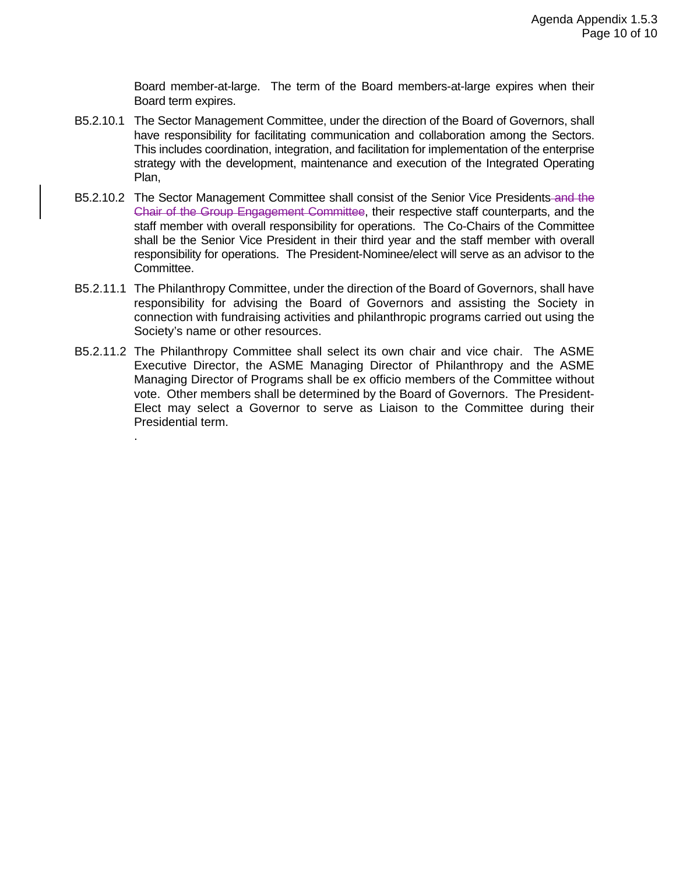Board member-at-large. The term of the Board members-at-large expires when their Board term expires.

- B5.2.10.1 The Sector Management Committee, under the direction of the Board of Governors, shall have responsibility for facilitating communication and collaboration among the Sectors. This includes coordination, integration, and facilitation for implementation of the enterprise strategy with the development, maintenance and execution of the Integrated Operating Plan,
- B5.2.10.2 The Sector Management Committee shall consist of the Senior Vice Presidents and the Chair of the Group Engagement Committee, their respective staff counterparts, and the staff member with overall responsibility for operations. The Co-Chairs of the Committee shall be the Senior Vice President in their third year and the staff member with overall responsibility for operations. The President-Nominee/elect will serve as an advisor to the Committee.
- B5.2.11.1 The Philanthropy Committee, under the direction of the Board of Governors, shall have responsibility for advising the Board of Governors and assisting the Society in connection with fundraising activities and philanthropic programs carried out using the Society's name or other resources.
- B5.2.11.2 The Philanthropy Committee shall select its own chair and vice chair. The ASME Executive Director, the ASME Managing Director of Philanthropy and the ASME Managing Director of Programs shall be ex officio members of the Committee without vote. Other members shall be determined by the Board of Governors. The President-Elect may select a Governor to serve as Liaison to the Committee during their Presidential term.

.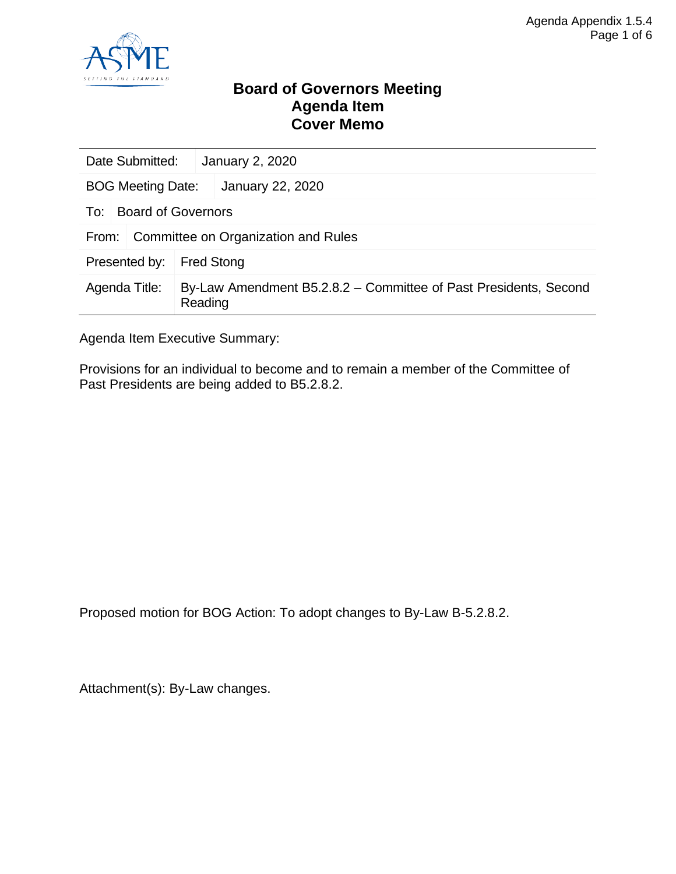

### **Board of Governors Meeting Agenda Item Cover Memo**

| Date Submitted:                              |                           |                   | <b>January 2, 2020</b>                                           |
|----------------------------------------------|---------------------------|-------------------|------------------------------------------------------------------|
| <b>BOG Meeting Date:</b>                     |                           |                   | January 22, 2020                                                 |
| To:                                          | <b>Board of Governors</b> |                   |                                                                  |
| Committee on Organization and Rules<br>From: |                           |                   |                                                                  |
| Presented by:                                |                           | <b>Fred Stong</b> |                                                                  |
| Agenda Title:                                |                           | Reading           | By-Law Amendment B5.2.8.2 – Committee of Past Presidents, Second |

Agenda Item Executive Summary:

Provisions for an individual to become and to remain a member of the Committee of Past Presidents are being added to B5.2.8.2.

Proposed motion for BOG Action: To adopt changes to By-Law B-5.2.8.2.

Attachment(s): By-Law changes.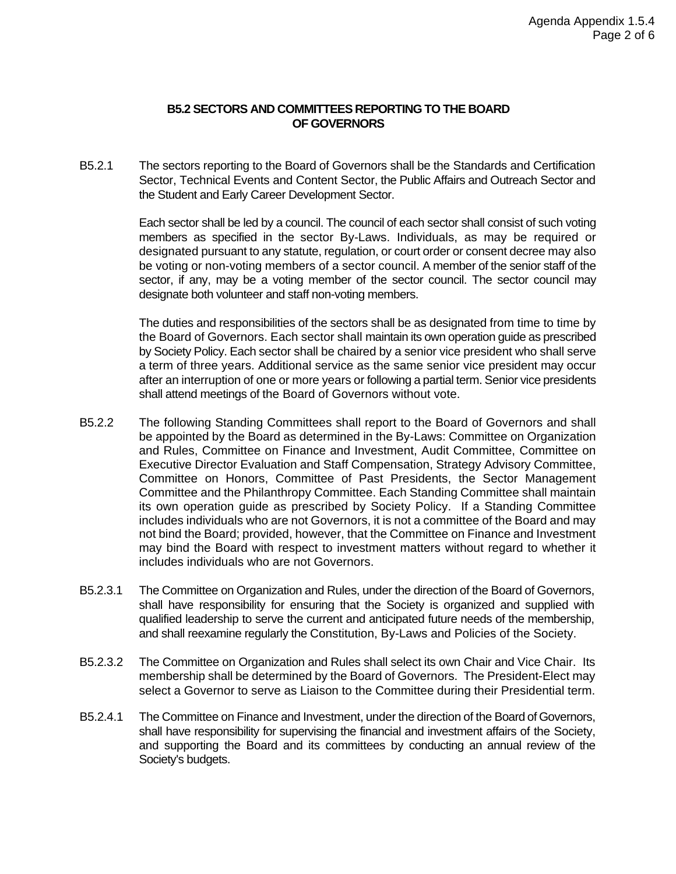#### **B5.2 SECTORS AND COMMITTEES REPORTING TO THE BOARD OF GOVERNORS**

B5.2.1 The sectors reporting to the Board of Governors shall be the Standards and Certification Sector, Technical Events and Content Sector, the Public Affairs and Outreach Sector and the Student and Early Career Development Sector.

> Each sector shall be led by a council. The council of each sector shall consist of such voting members as specified in the sector By-Laws. Individuals, as may be required or designated pursuant to any statute, regulation, or court order or consent decree may also be voting or non-voting members of a sector council. A member of the senior staff of the sector, if any, may be a voting member of the sector council. The sector council may designate both volunteer and staff non-voting members.

> The duties and responsibilities of the sectors shall be as designated from time to time by the Board of Governors. Each sector shall maintain its own operation guide as prescribed by Society Policy. Each sector shall be chaired by a senior vice president who shall serve a term of three years. Additional service as the same senior vice president may occur after an interruption of one or more years or following a partial term. Senior vice presidents shall attend meetings of the Board of Governors without vote.

- B5.2.2 The following Standing Committees shall report to the Board of Governors and shall be appointed by the Board as determined in the By-Laws: Committee on Organization and Rules, Committee on Finance and Investment, Audit Committee, Committee on Executive Director Evaluation and Staff Compensation, Strategy Advisory Committee, Committee on Honors, Committee of Past Presidents, the Sector Management Committee and the Philanthropy Committee. Each Standing Committee shall maintain its own operation guide as prescribed by Society Policy. If a Standing Committee includes individuals who are not Governors, it is not a committee of the Board and may not bind the Board; provided, however, that the Committee on Finance and Investment may bind the Board with respect to investment matters without regard to whether it includes individuals who are not Governors.
- B5.2.3.1 The Committee on Organization and Rules, under the direction of the Board of Governors, shall have responsibility for ensuring that the Society is organized and supplied with qualified leadership to serve the current and anticipated future needs of the membership, and shall reexamine regularly the Constitution, By-Laws and Policies of the Society.
- B5.2.3.2 The Committee on Organization and Rules shall select its own Chair and Vice Chair. Its membership shall be determined by the Board of Governors. The President-Elect may select a Governor to serve as Liaison to the Committee during their Presidential term.
- B5.2.4.1 The Committee on Finance and Investment, under the direction of the Board of Governors, shall have responsibility for supervising the financial and investment affairs of the Society, and supporting the Board and its committees by conducting an annual review of the Society's budgets.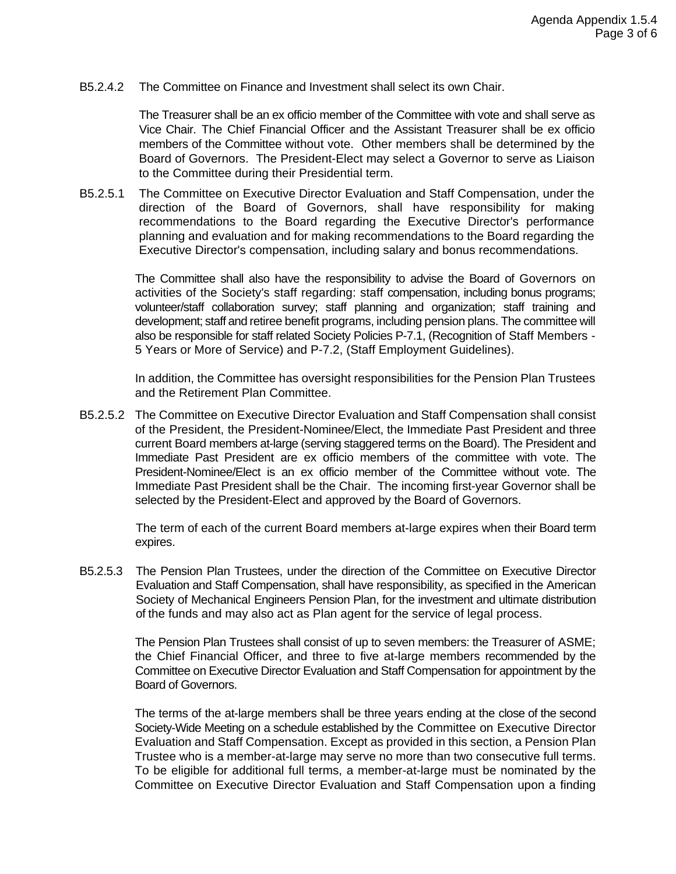B5.2.4.2 The Committee on Finance and Investment shall select its own Chair.

The Treasurer shall be an ex officio member of the Committee with vote and shall serve as Vice Chair. The Chief Financial Officer and the Assistant Treasurer shall be ex officio members of the Committee without vote. Other members shall be determined by the Board of Governors. The President-Elect may select a Governor to serve as Liaison to the Committee during their Presidential term.

B5.2.5.1 The Committee on Executive Director Evaluation and Staff Compensation, under the direction of the Board of Governors, shall have responsibility for making recommendations to the Board regarding the Executive Director's performance planning and evaluation and for making recommendations to the Board regarding the Executive Director's compensation, including salary and bonus recommendations.

> The Committee shall also have the responsibility to advise the Board of Governors on activities of the Society's staff regarding: staff compensation, including bonus programs; volunteer/staff collaboration survey; staff planning and organization; staff training and development; staff and retiree benefit programs, including pension plans. The committee will also be responsible for staff related Society Policies P-7.1, (Recognition of Staff Members - 5 Years or More of Service) and P-7.2, (Staff Employment Guidelines).

> In addition, the Committee has oversight responsibilities for the Pension Plan Trustees and the Retirement Plan Committee.

B5.2.5.2 The Committee on Executive Director Evaluation and Staff Compensation shall consist of the President, the President-Nominee/Elect, the Immediate Past President and three current Board members at-large (serving staggered terms on the Board). The President and Immediate Past President are ex officio members of the committee with vote. The President-Nominee/Elect is an ex officio member of the Committee without vote. The Immediate Past President shall be the Chair. The incoming first-year Governor shall be selected by the President-Elect and approved by the Board of Governors.

> The term of each of the current Board members at-large expires when their Board term expires.

B5.2.5.3 The Pension Plan Trustees, under the direction of the Committee on Executive Director Evaluation and Staff Compensation, shall have responsibility, as specified in the American Society of Mechanical Engineers Pension Plan, for the investment and ultimate distribution of the funds and may also act as Plan agent for the service of legal process.

> The Pension Plan Trustees shall consist of up to seven members: the Treasurer of ASME; the Chief Financial Officer, and three to five at-large members recommended by the Committee on Executive Director Evaluation and Staff Compensation for appointment by the Board of Governors.

> The terms of the at-large members shall be three years ending at the close of the second Society-Wide Meeting on a schedule established by the Committee on Executive Director Evaluation and Staff Compensation. Except as provided in this section, a Pension Plan Trustee who is a member-at-large may serve no more than two consecutive full terms. To be eligible for additional full terms, a member-at-large must be nominated by the Committee on Executive Director Evaluation and Staff Compensation upon a finding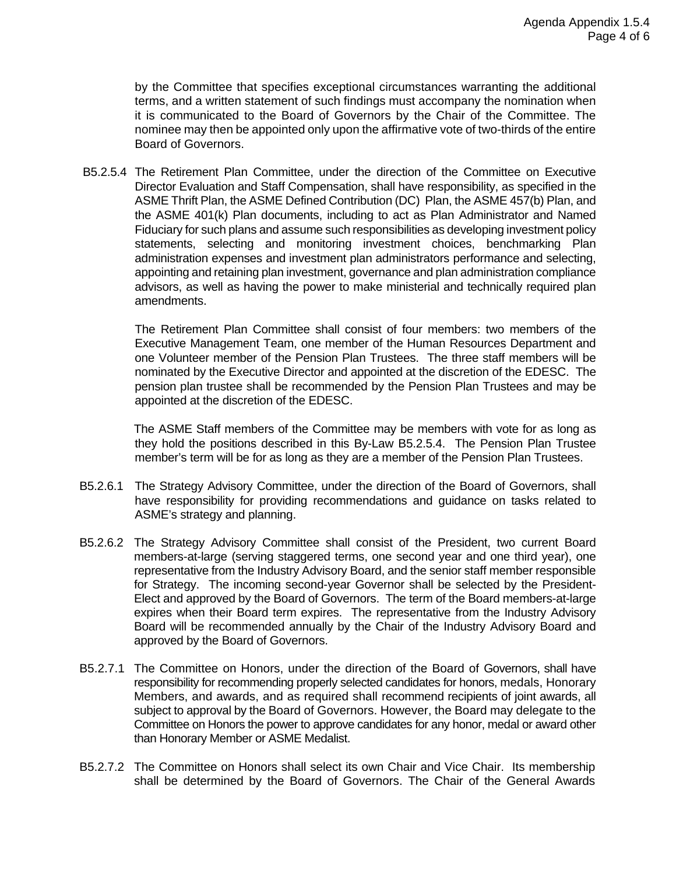by the Committee that specifies exceptional circumstances warranting the additional terms, and a written statement of such findings must accompany the nomination when it is communicated to the Board of Governors by the Chair of the Committee. The nominee may then be appointed only upon the affirmative vote of two-thirds of the entire Board of Governors.

B5.2.5.4 The Retirement Plan Committee, under the direction of the Committee on Executive Director Evaluation and Staff Compensation, shall have responsibility, as specified in the ASME Thrift Plan, the ASME Defined Contribution (DC) Plan, the ASME 457(b) Plan, and the ASME 401(k) Plan documents, including to act as Plan Administrator and Named Fiduciary for such plans and assume such responsibilities as developing investment policy statements, selecting and monitoring investment choices, benchmarking Plan administration expenses and investment plan administrators performance and selecting, appointing and retaining plan investment, governance and plan administration compliance advisors, as well as having the power to make ministerial and technically required plan amendments.

The Retirement Plan Committee shall consist of four members: two members of the Executive Management Team, one member of the Human Resources Department and one Volunteer member of the Pension Plan Trustees. The three staff members will be nominated by the Executive Director and appointed at the discretion of the EDESC. The pension plan trustee shall be recommended by the Pension Plan Trustees and may be appointed at the discretion of the EDESC.

The ASME Staff members of the Committee may be members with vote for as long as they hold the positions described in this By-Law B5.2.5.4. The Pension Plan Trustee member's term will be for as long as they are a member of the Pension Plan Trustees.

- B5.2.6.1 The Strategy Advisory Committee, under the direction of the Board of Governors, shall have responsibility for providing recommendations and guidance on tasks related to ASME's strategy and planning.
- B5.2.6.2 The Strategy Advisory Committee shall consist of the President, two current Board members-at-large (serving staggered terms, one second year and one third year), one representative from the Industry Advisory Board, and the senior staff member responsible for Strategy. The incoming second-year Governor shall be selected by the President-Elect and approved by the Board of Governors. The term of the Board members-at-large expires when their Board term expires. The representative from the Industry Advisory Board will be recommended annually by the Chair of the Industry Advisory Board and approved by the Board of Governors.
- B5.2.7.1 The Committee on Honors, under the direction of the Board of Governors, shall have responsibility for recommending properly selected candidates for honors, medals, Honorary Members, and awards, and as required shall recommend recipients of joint awards, all subject to approval by the Board of Governors. However, the Board may delegate to the Committee on Honors the power to approve candidates for any honor, medal or award other than Honorary Member or ASME Medalist.
- B5.2.7.2 The Committee on Honors shall select its own Chair and Vice Chair. Its membership shall be determined by the Board of Governors. The Chair of the General Awards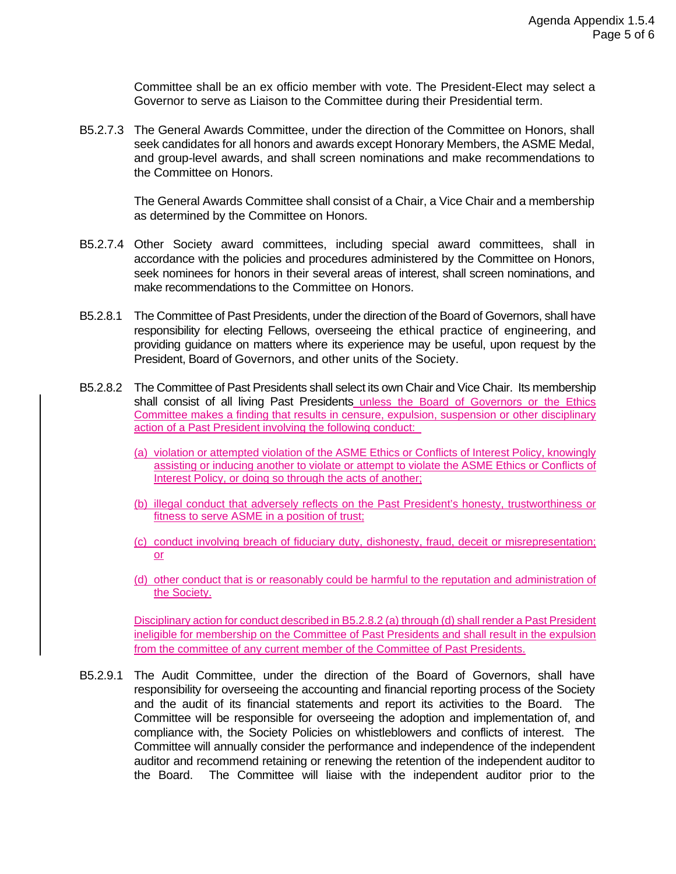Committee shall be an ex officio member with vote. The President-Elect may select a Governor to serve as Liaison to the Committee during their Presidential term.

B5.2.7.3 The General Awards Committee, under the direction of the Committee on Honors, shall seek candidates for all honors and awards except Honorary Members, the ASME Medal, and group-level awards, and shall screen nominations and make recommendations to the Committee on Honors.

> The General Awards Committee shall consist of a Chair, a Vice Chair and a membership as determined by the Committee on Honors.

- B5.2.7.4 Other Society award committees, including special award committees, shall in accordance with the policies and procedures administered by the Committee on Honors, seek nominees for honors in their several areas of interest, shall screen nominations, and make recommendations to the Committee on Honors.
- B5.2.8.1 The Committee of Past Presidents, under the direction of the Board of Governors, shall have responsibility for electing Fellows, overseeing the ethical practice of engineering, and providing guidance on matters where its experience may be useful, upon request by the President, Board of Governors, and other units of the Society.
- B5.2.8.2 The Committee of Past Presidents shall select its own Chair and Vice Chair. Its membership shall consist of all living Past Presidents unless the Board of Governors or the Ethics Committee makes a finding that results in censure, expulsion, suspension or other disciplinary action of a Past President involving the following conduct:
	- (a) violation or attempted violation of the ASME Ethics or Conflicts of Interest Policy, knowingly assisting or inducing another to violate or attempt to violate the ASME Ethics or Conflicts of Interest Policy, or doing so through the acts of another;
	- (b) illegal conduct that adversely reflects on the Past President's honesty, trustworthiness or fitness to serve ASME in a position of trust;
	- (c) conduct involving breach of fiduciary duty, dishonesty, fraud, deceit or misrepresentation; or
	- (d) other conduct that is or reasonably could be harmful to the reputation and administration of the Society.

Disciplinary action for conduct described in B5.2.8.2 (a) through (d) shall render a Past President ineligible for membership on the Committee of Past Presidents and shall result in the expulsion from the committee of any current member of the Committee of Past Presidents.

B5.2.9.1 The Audit Committee, under the direction of the Board of Governors, shall have responsibility for overseeing the accounting and financial reporting process of the Society and the audit of its financial statements and report its activities to the Board. The Committee will be responsible for overseeing the adoption and implementation of, and compliance with, the Society Policies on whistleblowers and conflicts of interest. The Committee will annually consider the performance and independence of the independent auditor and recommend retaining or renewing the retention of the independent auditor to the Board. The Committee will liaise with the independent auditor prior to the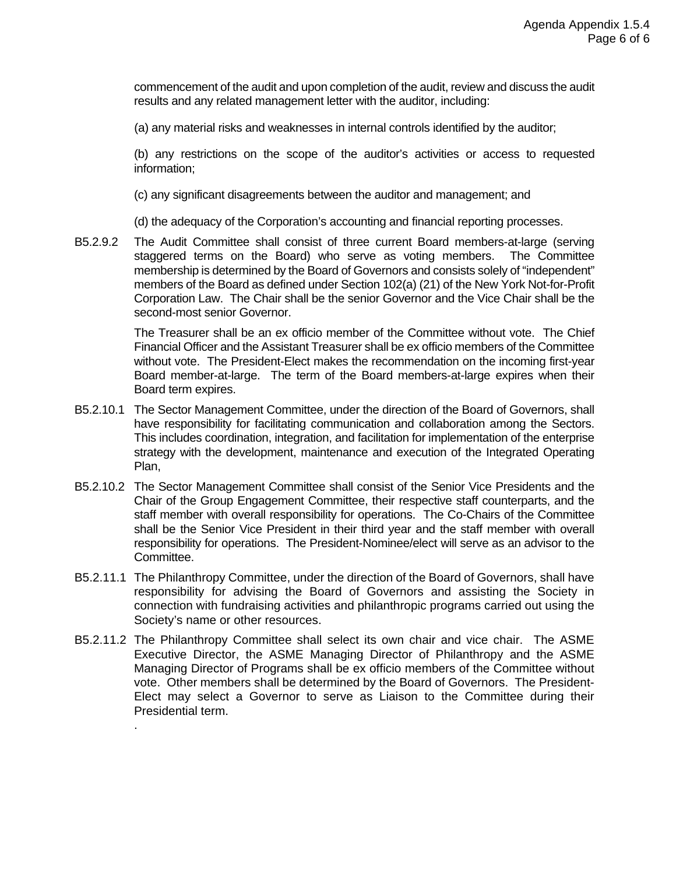commencement of the audit and upon completion of the audit, review and discuss the audit results and any related management letter with the auditor, including:

(a) any material risks and weaknesses in internal controls identified by the auditor;

(b) any restrictions on the scope of the auditor's activities or access to requested information;

(c) any significant disagreements between the auditor and management; and

(d) the adequacy of the Corporation's accounting and financial reporting processes.

B5.2.9.2 The Audit Committee shall consist of three current Board members-at-large (serving staggered terms on the Board) who serve as voting members. The Committee membership is determined by the Board of Governors and consists solely of "independent" members of the Board as defined under Section 102(a) (21) of the New York Not-for-Profit Corporation Law. The Chair shall be the senior Governor and the Vice Chair shall be the second-most senior Governor.

> The Treasurer shall be an ex officio member of the Committee without vote. The Chief Financial Officer and the Assistant Treasurer shall be ex officio members of the Committee without vote. The President-Elect makes the recommendation on the incoming first-year Board member-at-large. The term of the Board members-at-large expires when their Board term expires.

- B5.2.10.1 The Sector Management Committee, under the direction of the Board of Governors, shall have responsibility for facilitating communication and collaboration among the Sectors. This includes coordination, integration, and facilitation for implementation of the enterprise strategy with the development, maintenance and execution of the Integrated Operating Plan,
- B5.2.10.2 The Sector Management Committee shall consist of the Senior Vice Presidents and the Chair of the Group Engagement Committee, their respective staff counterparts, and the staff member with overall responsibility for operations. The Co-Chairs of the Committee shall be the Senior Vice President in their third year and the staff member with overall responsibility for operations. The President-Nominee/elect will serve as an advisor to the Committee.
- B5.2.11.1 The Philanthropy Committee, under the direction of the Board of Governors, shall have responsibility for advising the Board of Governors and assisting the Society in connection with fundraising activities and philanthropic programs carried out using the Society's name or other resources.
- B5.2.11.2 The Philanthropy Committee shall select its own chair and vice chair. The ASME Executive Director, the ASME Managing Director of Philanthropy and the ASME Managing Director of Programs shall be ex officio members of the Committee without vote. Other members shall be determined by the Board of Governors. The President-Elect may select a Governor to serve as Liaison to the Committee during their Presidential term.

.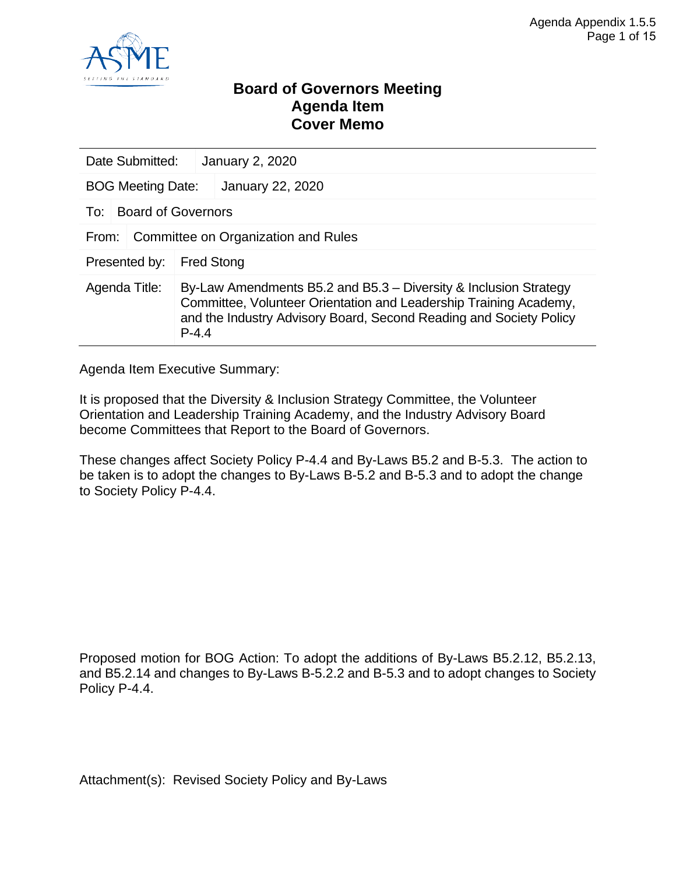

### **Board of Governors Meeting Agenda Item Cover Memo**

| Date Submitted:<br><b>January 2, 2020</b> |                                     |                                                                                                                                                                                                             |  |  |  |
|-------------------------------------------|-------------------------------------|-------------------------------------------------------------------------------------------------------------------------------------------------------------------------------------------------------------|--|--|--|
| <b>BOG Meeting Date:</b>                  |                                     | January 22, 2020                                                                                                                                                                                            |  |  |  |
| To:                                       | <b>Board of Governors</b>           |                                                                                                                                                                                                             |  |  |  |
| From:                                     | Committee on Organization and Rules |                                                                                                                                                                                                             |  |  |  |
| Presented by:<br><b>Fred Stong</b>        |                                     |                                                                                                                                                                                                             |  |  |  |
| Agenda Title:                             | $P - 4.4$                           | By-Law Amendments B5.2 and B5.3 – Diversity & Inclusion Strategy<br>Committee, Volunteer Orientation and Leadership Training Academy,<br>and the Industry Advisory Board, Second Reading and Society Policy |  |  |  |

Agenda Item Executive Summary:

It is proposed that the Diversity & Inclusion Strategy Committee, the Volunteer Orientation and Leadership Training Academy, and the Industry Advisory Board become Committees that Report to the Board of Governors.

These changes affect Society Policy P-4.4 and By-Laws B5.2 and B-5.3. The action to be taken is to adopt the changes to By-Laws B-5.2 and B-5.3 and to adopt the change to Society Policy P-4.4.

Proposed motion for BOG Action: To adopt the additions of By-Laws B5.2.12, B5.2.13, and B5.2.14 and changes to By-Laws B-5.2.2 and B-5.3 and to adopt changes to Society Policy P-4.4.

Attachment(s): Revised Society Policy and By-Laws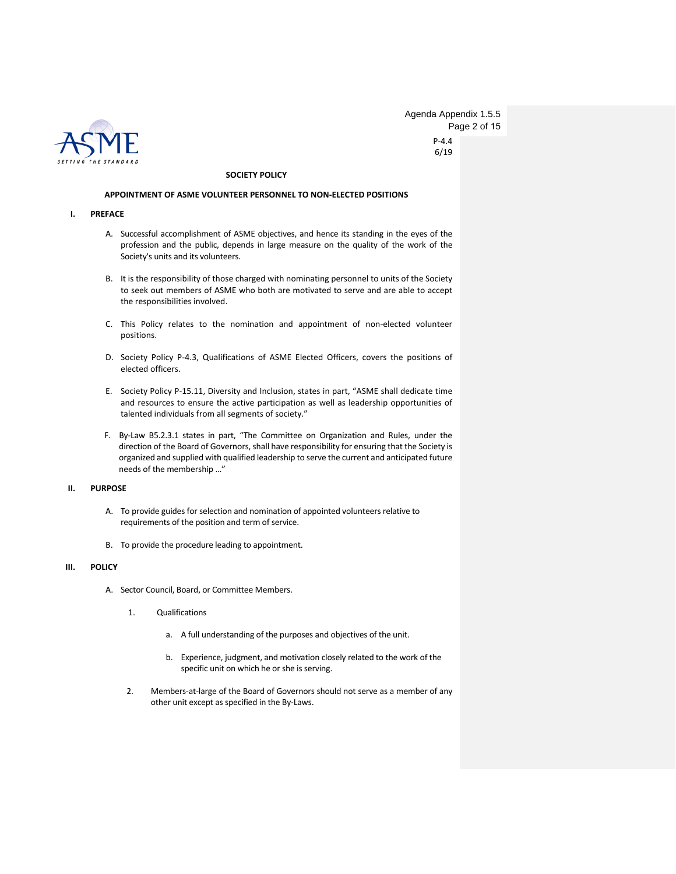

P-4.4 6/19 Agenda Appendix 1.5.5 Page 2 of 15

#### **SOCIETY POLICY**

#### **APPOINTMENT OF ASME VOLUNTEER PERSONNEL TO NON-ELECTED POSITIONS**

#### **I. PREFACE**

- A. Successful accomplishment of ASME objectives, and hence its standing in the eyes of the profession and the public, depends in large measure on the quality of the work of the Society's units and its volunteers.
- B. It is the responsibility of those charged with nominating personnel to units of the Society to seek out members of ASME who both are motivated to serve and are able to accept the responsibilities involved.
- C. This Policy relates to the nomination and appointment of non-elected volunteer positions.
- D. Society Policy P-4.3, Qualifications of ASME Elected Officers, covers the positions of elected officers.
- E. Society Policy P-15.11, Diversity and Inclusion, states in part, "ASME shall dedicate time and resources to ensure the active participation as well as leadership opportunities of talented individuals from all segments of society."
- F. By-Law B5.2.3.1 states in part, "The Committee on Organization and Rules, under the direction of the Board of Governors, shall have responsibility for ensuring that the Society is organized and supplied with qualified leadership to serve the current and anticipated future needs of the membership …"

#### **II. PURPOSE**

- A. To provide guides for selection and nomination of appointed volunteers relative to requirements of the position and term of service.
- B. To provide the procedure leading to appointment.

#### **III. POLICY**

- A. Sector Council, Board, or Committee Members.
	- 1. Qualifications
		- a. A full understanding of the purposes and objectives of the unit.
		- b. Experience, judgment, and motivation closely related to the work of the specific unit on which he or she is serving.
	- 2. Members-at-large of the Board of Governors should not serve as a member of any other unit except as specified in the By-Laws.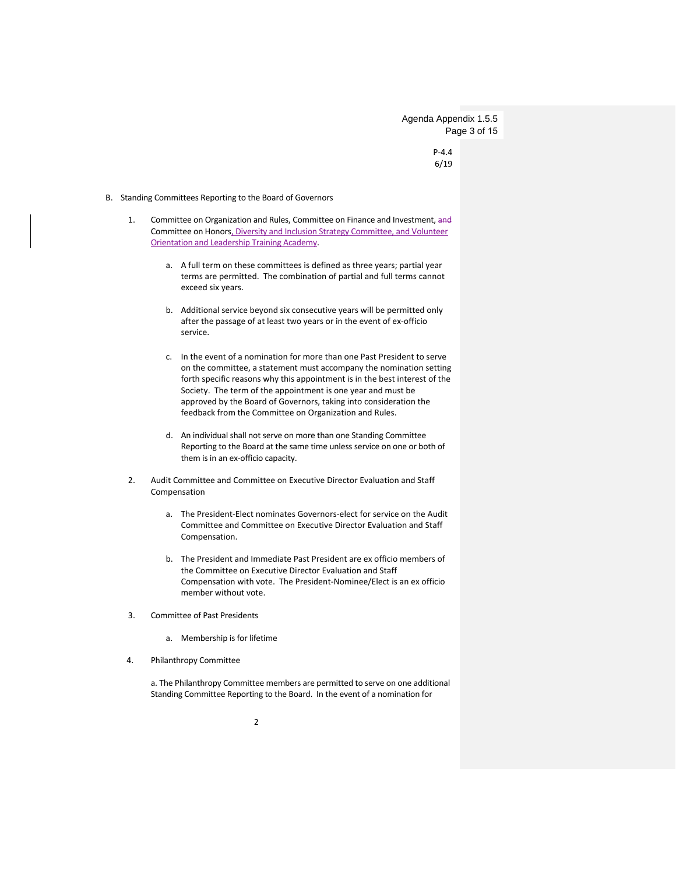Agenda Appendix 1.5.5 Page 3 of 15

> P-4.4 6/19

#### B. Standing Committees Reporting to the Board of Governors

- 1. Committee on Organization and Rules, Committee on Finance and Investment, and Committee on Honors, Diversity and Inclusion Strategy Committee, and Volunteer Orientation and Leadership Training Academy.
	- a. A full term on these committees is defined as three years; partial year terms are permitted. The combination of partial and full terms cannot exceed six years.
	- b. Additional service beyond six consecutive years will be permitted only after the passage of at least two years or in the event of ex-officio service.
	- c. In the event of a nomination for more than one Past President to serve on the committee, a statement must accompany the nomination setting forth specific reasons why this appointment is in the best interest of the Society. The term of the appointment is one year and must be approved by the Board of Governors, taking into consideration the feedback from the Committee on Organization and Rules.
	- d. An individual shall not serve on more than one Standing Committee Reporting to the Board at the same time unless service on one or both of them is in an ex-officio capacity.
- 2. Audit Committee and Committee on Executive Director Evaluation and Staff Compensation
	- a. The President-Elect nominates Governors-elect for service on the Audit Committee and Committee on Executive Director Evaluation and Staff Compensation.
	- b. The President and Immediate Past President are ex officio members of the Committee on Executive Director Evaluation and Staff Compensation with vote. The President-Nominee/Elect is an ex officio member without vote.
- 3. Committee of Past Presidents
	- a. Membership is for lifetime
- 4. Philanthropy Committee

a. The Philanthropy Committee members are permitted to serve on one additional Standing Committee Reporting to the Board. In the event of a nomination for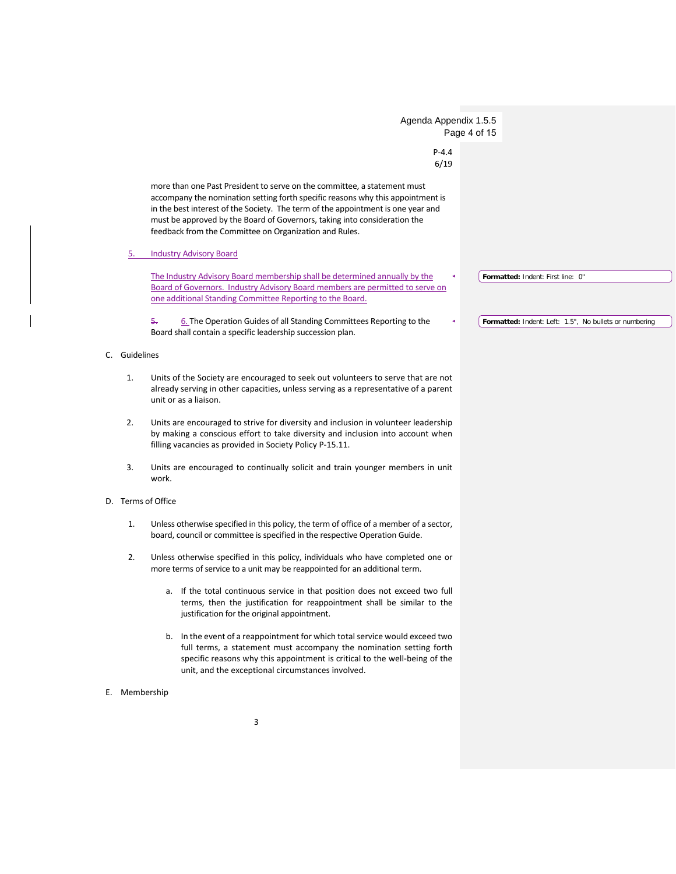|    | Agenda Appendix 1.5.5                                                                                                                                                                                                                                                                                                                                                                  |                                                        |
|----|----------------------------------------------------------------------------------------------------------------------------------------------------------------------------------------------------------------------------------------------------------------------------------------------------------------------------------------------------------------------------------------|--------------------------------------------------------|
|    | $P - 4.4$                                                                                                                                                                                                                                                                                                                                                                              | Page 4 of 15                                           |
|    | 6/19                                                                                                                                                                                                                                                                                                                                                                                   |                                                        |
|    | more than one Past President to serve on the committee, a statement must<br>accompany the nomination setting forth specific reasons why this appointment is<br>in the best interest of the Society. The term of the appointment is one year and<br>must be approved by the Board of Governors, taking into consideration the<br>feedback from the Committee on Organization and Rules. |                                                        |
|    | <b>Industry Advisory Board</b><br>5.                                                                                                                                                                                                                                                                                                                                                   |                                                        |
|    | The Industry Advisory Board membership shall be determined annually by the<br>Board of Governors. Industry Advisory Board members are permitted to serve on<br>one additional Standing Committee Reporting to the Board.                                                                                                                                                               | Formatted: Indent: First line: 0"                      |
|    | 6. The Operation Guides of all Standing Committees Reporting to the<br>5.<br>Board shall contain a specific leadership succession plan.                                                                                                                                                                                                                                                | Formatted: Indent: Left: 1.5", No bullets or numbering |
| C. | Guidelines                                                                                                                                                                                                                                                                                                                                                                             |                                                        |
|    | Units of the Society are encouraged to seek out volunteers to serve that are not<br>1.<br>already serving in other capacities, unless serving as a representative of a parent<br>unit or as a liaison.                                                                                                                                                                                 |                                                        |
|    | 2.<br>Units are encouraged to strive for diversity and inclusion in volunteer leadership<br>by making a conscious effort to take diversity and inclusion into account when<br>filling vacancies as provided in Society Policy P-15.11.                                                                                                                                                 |                                                        |
|    | 3.<br>Units are encouraged to continually solicit and train younger members in unit<br>work.                                                                                                                                                                                                                                                                                           |                                                        |
|    | D. Terms of Office                                                                                                                                                                                                                                                                                                                                                                     |                                                        |
|    | Unless otherwise specified in this policy, the term of office of a member of a sector,<br>1.<br>board, council or committee is specified in the respective Operation Guide.                                                                                                                                                                                                            |                                                        |
|    | 2.<br>Unless otherwise specified in this policy, individuals who have completed one or<br>more terms of service to a unit may be reappointed for an additional term.                                                                                                                                                                                                                   |                                                        |
|    | a. If the total continuous service in that position does not exceed two full<br>terms, then the justification for reappointment shall be similar to the<br>justification for the original appointment.                                                                                                                                                                                 |                                                        |
|    | b. In the event of a reappointment for which total service would exceed two<br>full terms, a statement must accompany the nomination setting forth<br>specific reasons why this appointment is critical to the well-being of the<br>unit, and the exceptional circumstances involved.                                                                                                  |                                                        |
|    | E. Membership                                                                                                                                                                                                                                                                                                                                                                          |                                                        |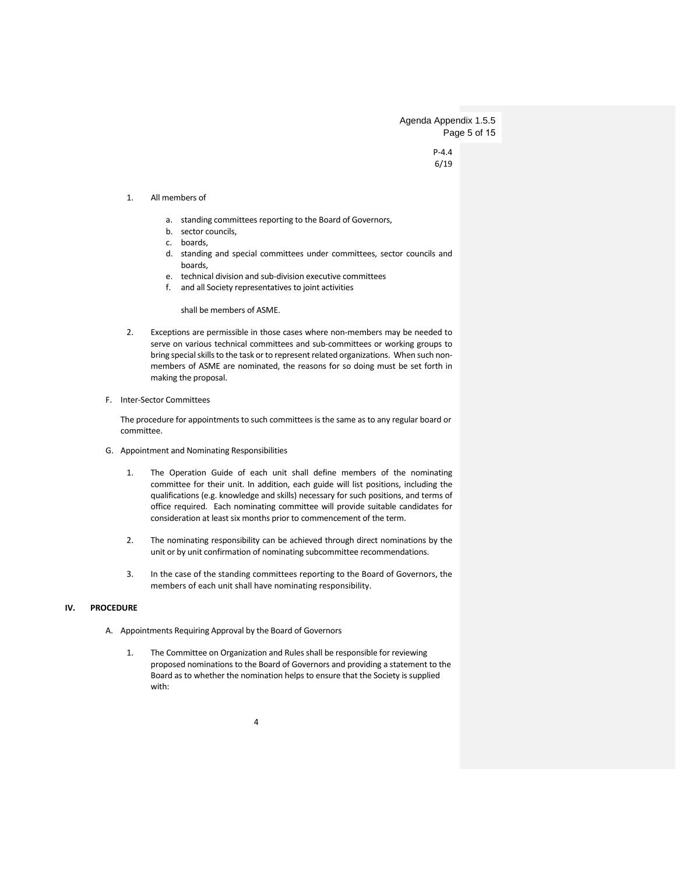Agenda Appendix 1.5.5 Page 5 of 15

> P-4.4 6/19

#### 1. All members of

- a. standing committees reporting to the Board of Governors,
- b. sector councils,
- c. boards,
- d. standing and special committees under committees, sector councils and boards,
- e. technical division and sub-division executive committees
- f. and all Society representatives to joint activities

shall be members of ASME.

- 2. Exceptions are permissible in those cases where non-members may be needed to serve on various technical committees and sub-committees or working groups to bring special skills to the task or to represent related organizations. When such nonmembers of ASME are nominated, the reasons for so doing must be set forth in making the proposal.
- F. Inter-Sector Committees

The procedure for appointments to such committees is the same as to any regular board or committee.

- G. Appointment and Nominating Responsibilities
	- 1. The Operation Guide of each unit shall define members of the nominating committee for their unit. In addition, each guide will list positions, including the qualifications (e.g. knowledge and skills) necessary for such positions, and terms of office required. Each nominating committee will provide suitable candidates for consideration at least six months prior to commencement of the term.
	- 2. The nominating responsibility can be achieved through direct nominations by the unit or by unit confirmation of nominating subcommittee recommendations.
	- 3. In the case of the standing committees reporting to the Board of Governors, the members of each unit shall have nominating responsibility.

#### **IV. PROCEDURE**

- A. Appointments Requiring Approval by the Board of Governors
	- 1. The Committee on Organization and Rules shall be responsible for reviewing proposed nominations to the Board of Governors and providing a statement to the Board as to whether the nomination helps to ensure that the Society is supplied with: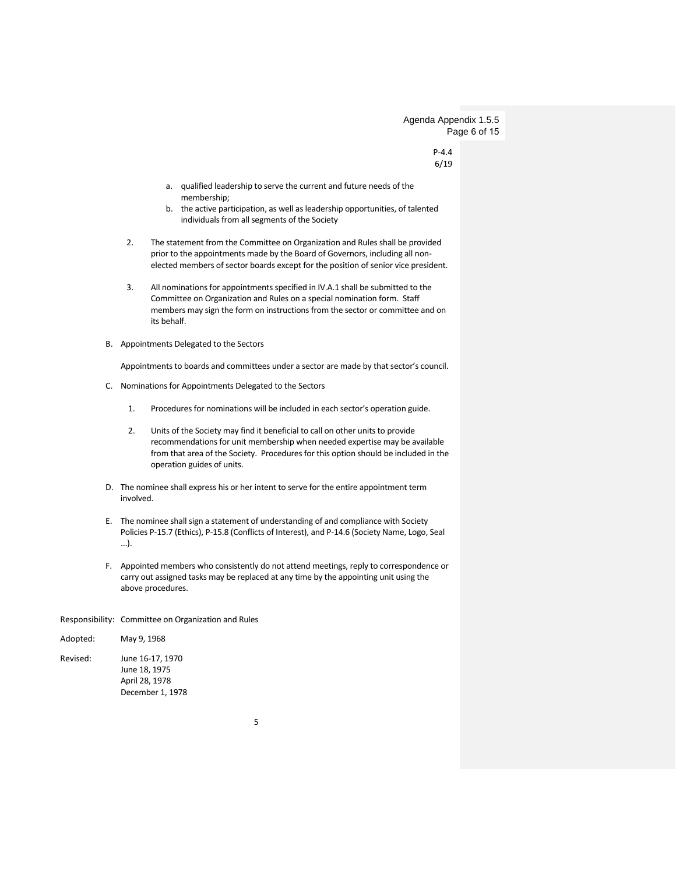Agenda Appendix 1.5.5 Page 6 of 15

> P-4.4 6/19

- a. qualified leadership to serve the current and future needs of the membership;
- b. the active participation, as well as leadership opportunities, of talented individuals from all segments of the Society
- 2. The statement from the Committee on Organization and Rules shall be provided prior to the appointments made by the Board of Governors, including all nonelected members of sector boards except for the position of senior vice president.
- 3. All nominations for appointments specified in IV.A.1 shall be submitted to the Committee on Organization and Rules on a special nomination form. Staff members may sign the form on instructions from the sector or committee and on its behalf.
- B. Appointments Delegated to the Sectors

Appointments to boards and committees under a sector are made by that sector's council.

- C. Nominations for Appointments Delegated to the Sectors
	- 1. Procedures for nominations will be included in each sector's operation guide.
	- 2. Units of the Society may find it beneficial to call on other units to provide recommendations for unit membership when needed expertise may be available from that area of the Society. Procedures for this option should be included in the operation guides of units.
- D. The nominee shall express his or her intent to serve for the entire appointment term involved.
- E. The nominee shall sign a statement of understanding of and compliance with Society Policies P-15.7 (Ethics), P-15.8 (Conflicts of Interest), and P-14.6 (Society Name, Logo, Seal ...).
- F. Appointed members who consistently do not attend meetings, reply to correspondence or carry out assigned tasks may be replaced at any time by the appointing unit using the above procedures.

#### Responsibility: Committee on Organization and Rules

| Adopted: | May 9, 1968                                                             |
|----------|-------------------------------------------------------------------------|
| Revised: | June 16-17, 1970<br>June 18, 1975<br>April 28, 1978<br>December 1, 1978 |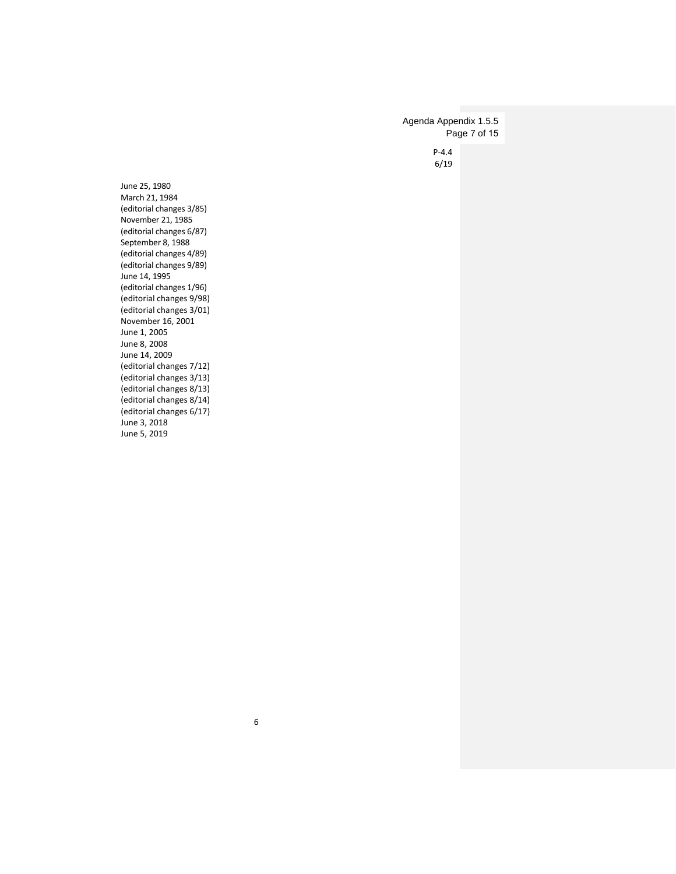P-4.4 6/19 Agenda Appendix 1.5.5 Page 7 of 15

June 25, 1980 March 21, 1984 (editorial changes 3/85) November 21, 1985 (editorial changes 6/87) September 8, 1988 (editorial changes 4/89) (editorial changes 9/89) June 14, 1995 (editorial changes 1/96) (editorial changes 9/98) (editorial changes 3/01) November 16, 2001 June 1, 2005 June 8, 2008 June 14, 2009 (editorial changes 7/12) (editorial changes 3/13) (editorial changes 8/13) (editorial changes 8/14) (editorial changes 6/17) June 3, 2018 June 5, 2019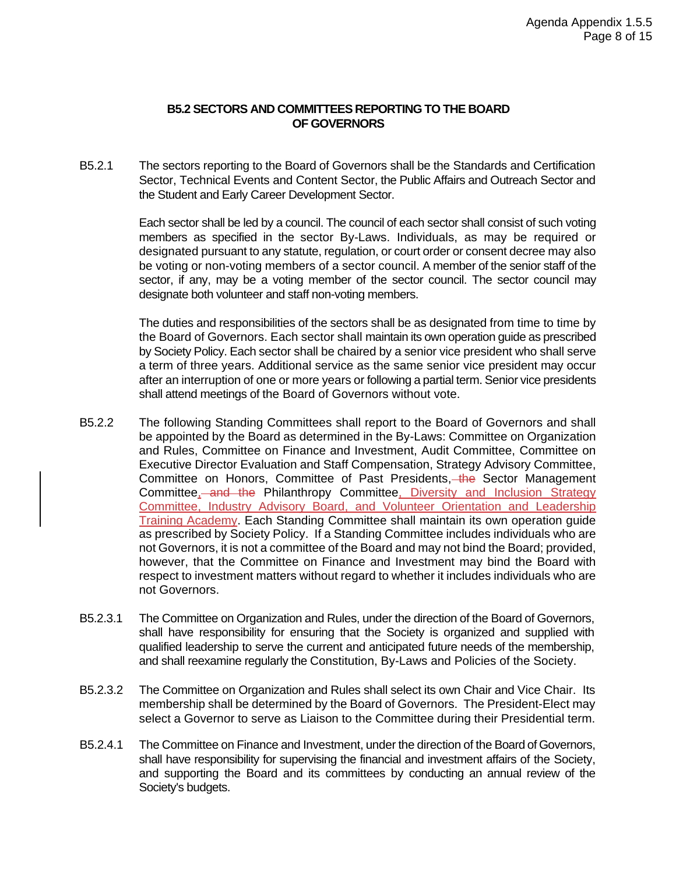#### **B5.2 SECTORS AND COMMITTEES REPORTING TO THE BOARD OF GOVERNORS**

B5.2.1 The sectors reporting to the Board of Governors shall be the Standards and Certification Sector, Technical Events and Content Sector, the Public Affairs and Outreach Sector and the Student and Early Career Development Sector.

> Each sector shall be led by a council. The council of each sector shall consist of such voting members as specified in the sector By-Laws. Individuals, as may be required or designated pursuant to any statute, regulation, or court order or consent decree may also be voting or non-voting members of a sector council. A member of the senior staff of the sector, if any, may be a voting member of the sector council. The sector council may designate both volunteer and staff non-voting members.

> The duties and responsibilities of the sectors shall be as designated from time to time by the Board of Governors. Each sector shall maintain its own operation guide as prescribed by Society Policy. Each sector shall be chaired by a senior vice president who shall serve a term of three years. Additional service as the same senior vice president may occur after an interruption of one or more years or following a partial term. Senior vice presidents shall attend meetings of the Board of Governors without vote.

- B5.2.2 The following Standing Committees shall report to the Board of Governors and shall be appointed by the Board as determined in the By-Laws: Committee on Organization and Rules, Committee on Finance and Investment, Audit Committee, Committee on Executive Director Evaluation and Staff Compensation, Strategy Advisory Committee, Committee on Honors, Committee of Past Presidents, the Sector Management Committee, and the Philanthropy Committee, Diversity and Inclusion Strategy Committee, Industry Advisory Board, and Volunteer Orientation and Leadership Training Academy. Each Standing Committee shall maintain its own operation guide as prescribed by Society Policy. If a Standing Committee includes individuals who are not Governors, it is not a committee of the Board and may not bind the Board; provided, however, that the Committee on Finance and Investment may bind the Board with respect to investment matters without regard to whether it includes individuals who are not Governors.
- B5.2.3.1 The Committee on Organization and Rules, under the direction of the Board of Governors, shall have responsibility for ensuring that the Society is organized and supplied with qualified leadership to serve the current and anticipated future needs of the membership, and shall reexamine regularly the Constitution, By-Laws and Policies of the Society.
- B5.2.3.2 The Committee on Organization and Rules shall select its own Chair and Vice Chair. Its membership shall be determined by the Board of Governors. The President-Elect may select a Governor to serve as Liaison to the Committee during their Presidential term.
- B5.2.4.1 The Committee on Finance and Investment, under the direction of the Board of Governors, shall have responsibility for supervising the financial and investment affairs of the Society, and supporting the Board and its committees by conducting an annual review of the Society's budgets.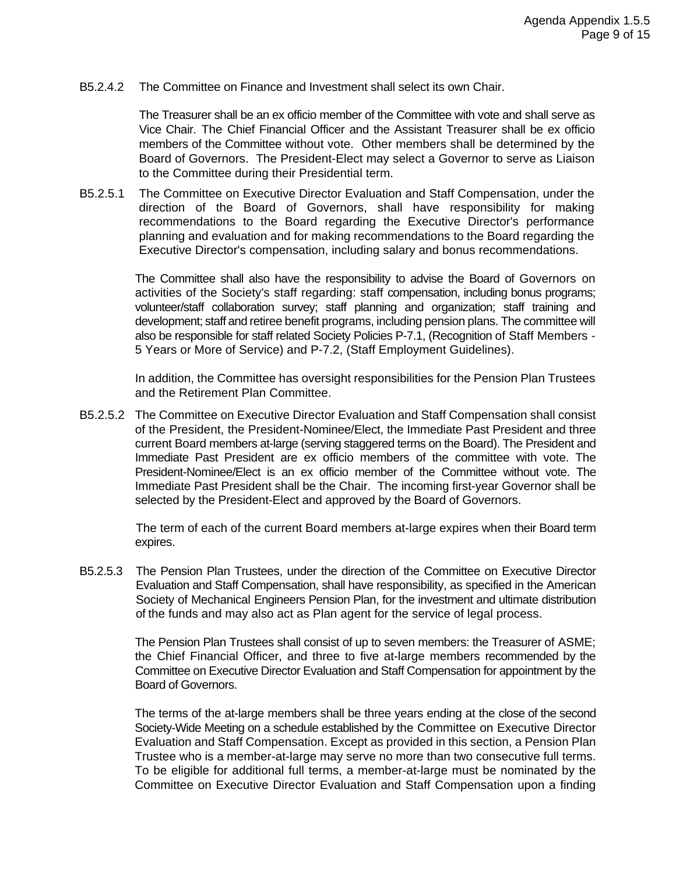B5.2.4.2 The Committee on Finance and Investment shall select its own Chair.

The Treasurer shall be an ex officio member of the Committee with vote and shall serve as Vice Chair. The Chief Financial Officer and the Assistant Treasurer shall be ex officio members of the Committee without vote. Other members shall be determined by the Board of Governors. The President-Elect may select a Governor to serve as Liaison to the Committee during their Presidential term.

B5.2.5.1 The Committee on Executive Director Evaluation and Staff Compensation, under the direction of the Board of Governors, shall have responsibility for making recommendations to the Board regarding the Executive Director's performance planning and evaluation and for making recommendations to the Board regarding the Executive Director's compensation, including salary and bonus recommendations.

> The Committee shall also have the responsibility to advise the Board of Governors on activities of the Society's staff regarding: staff compensation, including bonus programs; volunteer/staff collaboration survey; staff planning and organization; staff training and development; staff and retiree benefit programs, including pension plans. The committee will also be responsible for staff related Society Policies P-7.1, (Recognition of Staff Members - 5 Years or More of Service) and P-7.2, (Staff Employment Guidelines).

> In addition, the Committee has oversight responsibilities for the Pension Plan Trustees and the Retirement Plan Committee.

B5.2.5.2 The Committee on Executive Director Evaluation and Staff Compensation shall consist of the President, the President-Nominee/Elect, the Immediate Past President and three current Board members at-large (serving staggered terms on the Board). The President and Immediate Past President are ex officio members of the committee with vote. The President-Nominee/Elect is an ex officio member of the Committee without vote. The Immediate Past President shall be the Chair. The incoming first-year Governor shall be selected by the President-Elect and approved by the Board of Governors.

> The term of each of the current Board members at-large expires when their Board term expires.

B5.2.5.3 The Pension Plan Trustees, under the direction of the Committee on Executive Director Evaluation and Staff Compensation, shall have responsibility, as specified in the American Society of Mechanical Engineers Pension Plan, for the investment and ultimate distribution of the funds and may also act as Plan agent for the service of legal process.

> The Pension Plan Trustees shall consist of up to seven members: the Treasurer of ASME; the Chief Financial Officer, and three to five at-large members recommended by the Committee on Executive Director Evaluation and Staff Compensation for appointment by the Board of Governors.

> The terms of the at-large members shall be three years ending at the close of the second Society-Wide Meeting on a schedule established by the Committee on Executive Director Evaluation and Staff Compensation. Except as provided in this section, a Pension Plan Trustee who is a member-at-large may serve no more than two consecutive full terms. To be eligible for additional full terms, a member-at-large must be nominated by the Committee on Executive Director Evaluation and Staff Compensation upon a finding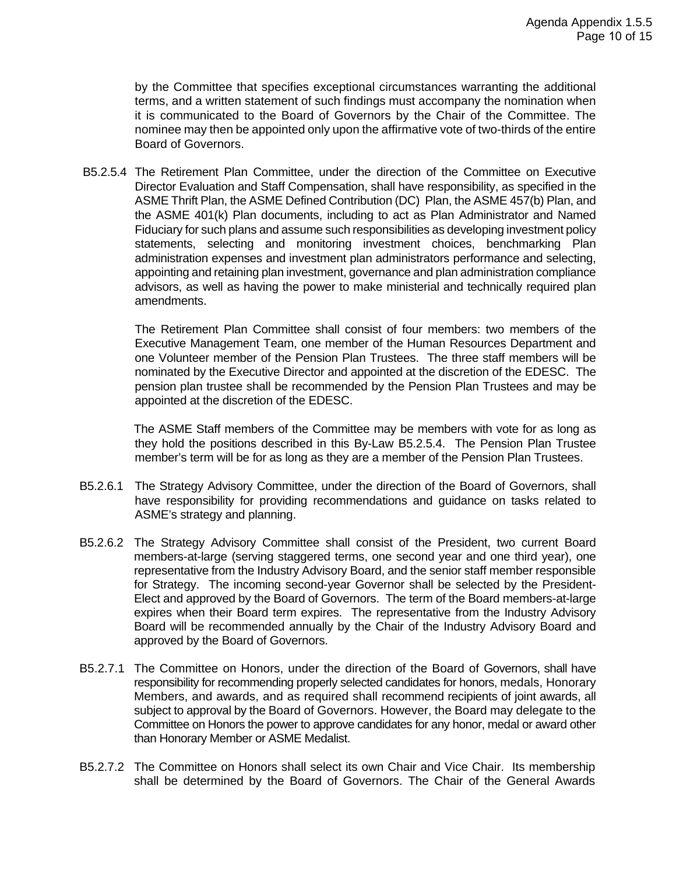by the Committee that specifies exceptional circumstances warranting the additional terms, and a written statement of such findings must accompany the nomination when it is communicated to the Board of Governors by the Chair of the Committee. The nominee may then be appointed only upon the affirmative vote of two-thirds of the entire Board of Governors.

B5.2.5.4 The Retirement Plan Committee, under the direction of the Committee on Executive Director Evaluation and Staff Compensation, shall have responsibility, as specified in the ASME Thrift Plan, the ASME Defined Contribution (DC) Plan, the ASME 457(b) Plan, and the ASME 401(k) Plan documents, including to act as Plan Administrator and Named Fiduciary for such plans and assume such responsibilities as developing investment policy statements, selecting and monitoring investment choices, benchmarking Plan administration expenses and investment plan administrators performance and selecting, appointing and retaining plan investment, governance and plan administration compliance advisors, as well as having the power to make ministerial and technically required plan amendments.

The Retirement Plan Committee shall consist of four members: two members of the Executive Management Team, one member of the Human Resources Department and one Volunteer member of the Pension Plan Trustees. The three staff members will be nominated by the Executive Director and appointed at the discretion of the EDESC. The pension plan trustee shall be recommended by the Pension Plan Trustees and may be appointed at the discretion of the EDESC.

The ASME Staff members of the Committee may be members with vote for as long as they hold the positions described in this By-Law B5.2.5.4. The Pension Plan Trustee member's term will be for as long as they are a member of the Pension Plan Trustees.

- B5.2.6.1 The Strategy Advisory Committee, under the direction of the Board of Governors, shall have responsibility for providing recommendations and guidance on tasks related to ASME's strategy and planning.
- B5.2.6.2 The Strategy Advisory Committee shall consist of the President, two current Board members-at-large (serving staggered terms, one second year and one third year), one representative from the Industry Advisory Board, and the senior staff member responsible for Strategy. The incoming second-year Governor shall be selected by the President-Elect and approved by the Board of Governors. The term of the Board members-at-large expires when their Board term expires. The representative from the Industry Advisory Board will be recommended annually by the Chair of the Industry Advisory Board and approved by the Board of Governors.
- B5.2.7.1 The Committee on Honors, under the direction of the Board of Governors, shall have responsibility for recommending properly selected candidates for honors, medals, Honorary Members, and awards, and as required shall recommend recipients of joint awards, all subject to approval by the Board of Governors. However, the Board may delegate to the Committee on Honors the power to approve candidates for any honor, medal or award other than Honorary Member or ASME Medalist.
- B5.2.7.2 The Committee on Honors shall select its own Chair and Vice Chair. Its membership shall be determined by the Board of Governors. The Chair of the General Awards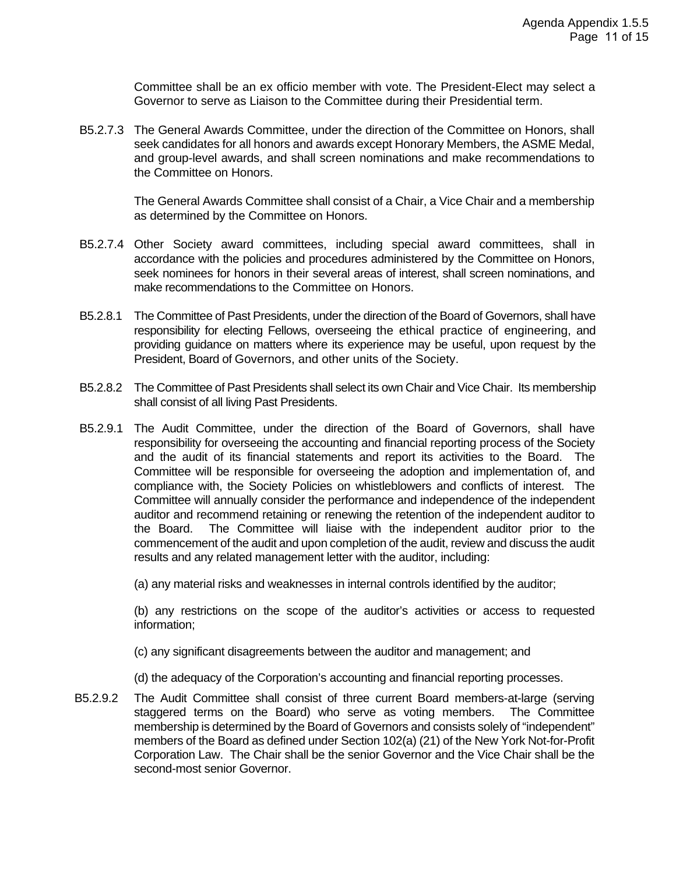Committee shall be an ex officio member with vote. The President-Elect may select a Governor to serve as Liaison to the Committee during their Presidential term.

B5.2.7.3 The General Awards Committee, under the direction of the Committee on Honors, shall seek candidates for all honors and awards except Honorary Members, the ASME Medal, and group-level awards, and shall screen nominations and make recommendations to the Committee on Honors.

> The General Awards Committee shall consist of a Chair, a Vice Chair and a membership as determined by the Committee on Honors.

- B5.2.7.4 Other Society award committees, including special award committees, shall in accordance with the policies and procedures administered by the Committee on Honors, seek nominees for honors in their several areas of interest, shall screen nominations, and make recommendations to the Committee on Honors.
- B5.2.8.1 The Committee of Past Presidents, under the direction of the Board of Governors, shall have responsibility for electing Fellows, overseeing the ethical practice of engineering, and providing guidance on matters where its experience may be useful, upon request by the President, Board of Governors, and other units of the Society.
- B5.2.8.2 The Committee of Past Presidents shall select its own Chair and Vice Chair. Its membership shall consist of all living Past Presidents.
- B5.2.9.1 The Audit Committee, under the direction of the Board of Governors, shall have responsibility for overseeing the accounting and financial reporting process of the Society and the audit of its financial statements and report its activities to the Board. The Committee will be responsible for overseeing the adoption and implementation of, and compliance with, the Society Policies on whistleblowers and conflicts of interest. The Committee will annually consider the performance and independence of the independent auditor and recommend retaining or renewing the retention of the independent auditor to the Board. The Committee will liaise with the independent auditor prior to the commencement of the audit and upon completion of the audit, review and discuss the audit results and any related management letter with the auditor, including:

(a) any material risks and weaknesses in internal controls identified by the auditor;

(b) any restrictions on the scope of the auditor's activities or access to requested information;

- (c) any significant disagreements between the auditor and management; and
- (d) the adequacy of the Corporation's accounting and financial reporting processes.
- B5.2.9.2 The Audit Committee shall consist of three current Board members-at-large (serving staggered terms on the Board) who serve as voting members. The Committee membership is determined by the Board of Governors and consists solely of "independent" members of the Board as defined under Section 102(a) (21) of the New York Not-for-Profit Corporation Law. The Chair shall be the senior Governor and the Vice Chair shall be the second-most senior Governor.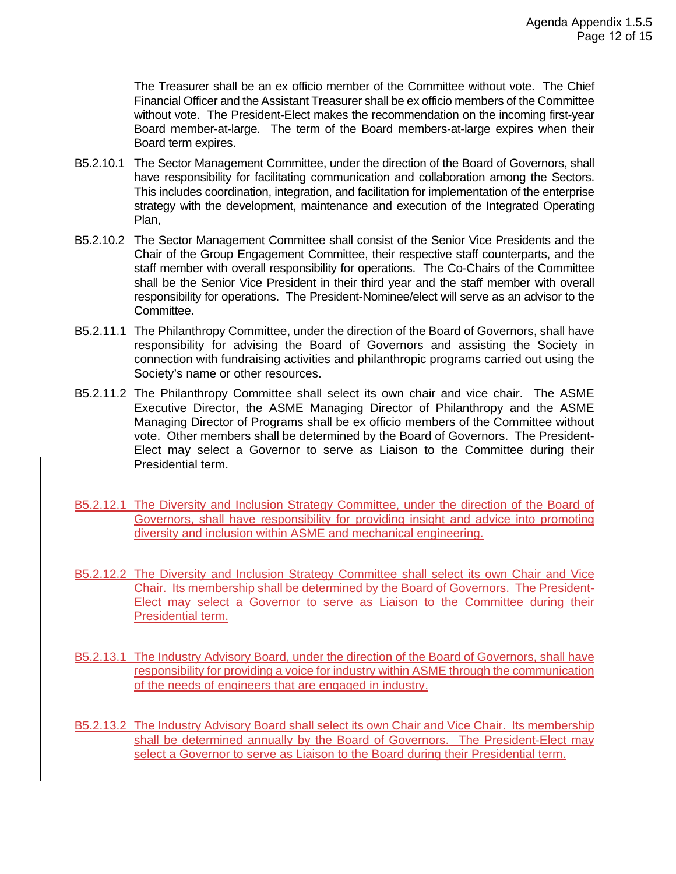The Treasurer shall be an ex officio member of the Committee without vote. The Chief Financial Officer and the Assistant Treasurer shall be ex officio members of the Committee without vote. The President-Elect makes the recommendation on the incoming first-year Board member-at-large. The term of the Board members-at-large expires when their Board term expires.

- B5.2.10.1 The Sector Management Committee, under the direction of the Board of Governors, shall have responsibility for facilitating communication and collaboration among the Sectors. This includes coordination, integration, and facilitation for implementation of the enterprise strategy with the development, maintenance and execution of the Integrated Operating Plan,
- B5.2.10.2 The Sector Management Committee shall consist of the Senior Vice Presidents and the Chair of the Group Engagement Committee, their respective staff counterparts, and the staff member with overall responsibility for operations. The Co-Chairs of the Committee shall be the Senior Vice President in their third year and the staff member with overall responsibility for operations. The President-Nominee/elect will serve as an advisor to the Committee.
- B5.2.11.1 The Philanthropy Committee, under the direction of the Board of Governors, shall have responsibility for advising the Board of Governors and assisting the Society in connection with fundraising activities and philanthropic programs carried out using the Society's name or other resources.
- B5.2.11.2 The Philanthropy Committee shall select its own chair and vice chair. The ASME Executive Director, the ASME Managing Director of Philanthropy and the ASME Managing Director of Programs shall be ex officio members of the Committee without vote. Other members shall be determined by the Board of Governors. The President-Elect may select a Governor to serve as Liaison to the Committee during their Presidential term.
- B5.2.12.1 The Diversity and Inclusion Strategy Committee, under the direction of the Board of Governors, shall have responsibility for providing insight and advice into promoting diversity and inclusion within ASME and mechanical engineering.
- B5.2.12.2 The Diversity and Inclusion Strategy Committee shall select its own Chair and Vice Chair. Its membership shall be determined by the Board of Governors. The President-Elect may select a Governor to serve as Liaison to the Committee during their Presidential term.
- B5.2.13.1 The Industry Advisory Board, under the direction of the Board of Governors, shall have responsibility for providing a voice for industry within ASME through the communication of the needs of engineers that are engaged in industry.
- B5.2.13.2 The Industry Advisory Board shall select its own Chair and Vice Chair. Its membership shall be determined annually by the Board of Governors. The President-Elect may select a Governor to serve as Liaison to the Board during their Presidential term.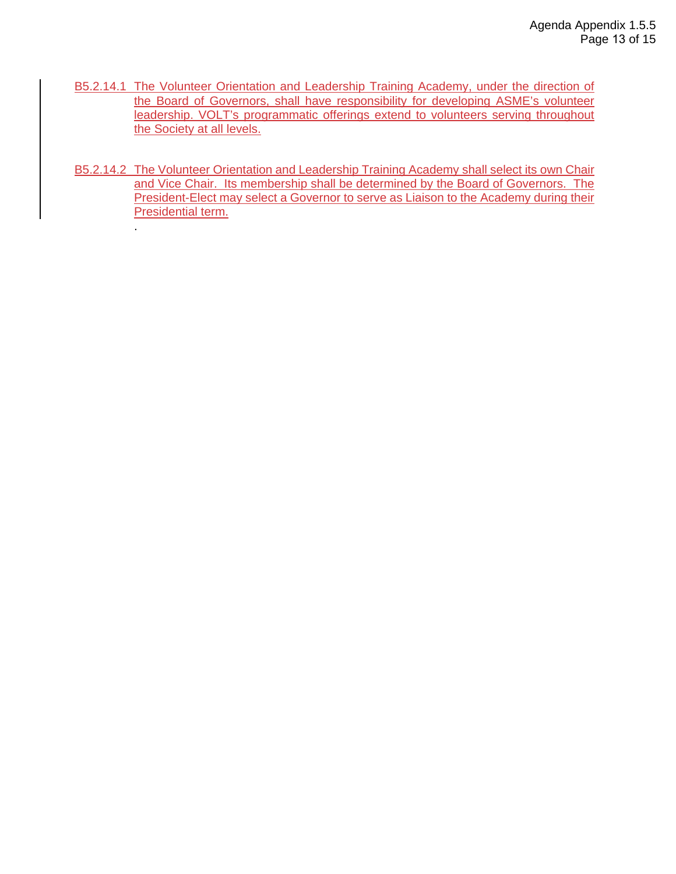- B5.2.14.1 The Volunteer Orientation and Leadership Training Academy, under the direction of the Board of Governors, shall have responsibility for developing ASME's volunteer leadership. VOLT's programmatic offerings extend to volunteers serving throughout the Society at all levels.
- B5.2.14.2 The Volunteer Orientation and Leadership Training Academy shall select its own Chair and Vice Chair. Its membership shall be determined by the Board of Governors. The President-Elect may select a Governor to serve as Liaison to the Academy during their Presidential term.

.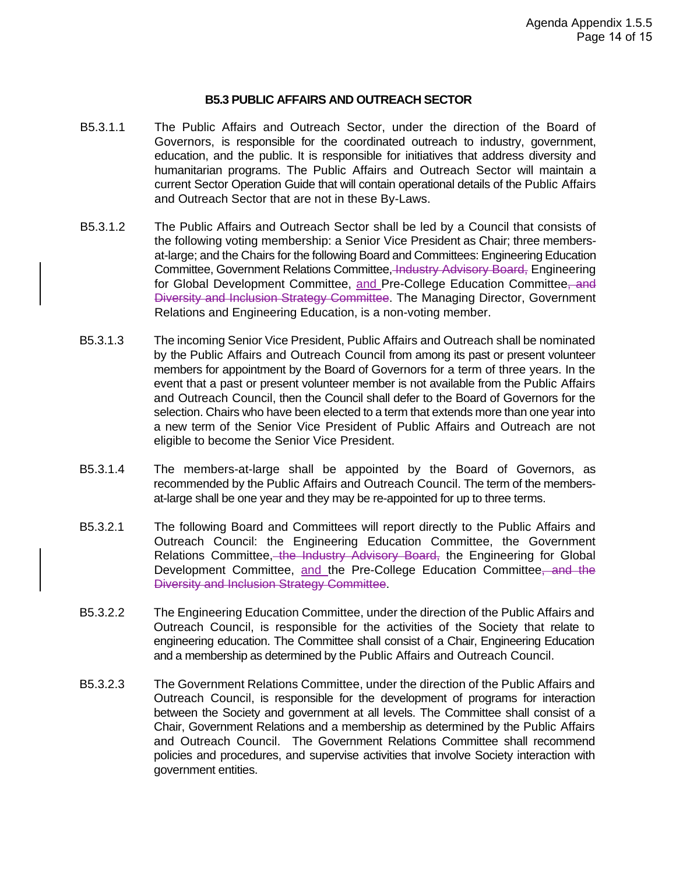#### **B5.3 PUBLIC AFFAIRS AND OUTREACH SECTOR**

- B5.3.1.1 The Public Affairs and Outreach Sector, under the direction of the Board of Governors, is responsible for the coordinated outreach to industry, government, education, and the public. It is responsible for initiatives that address diversity and humanitarian programs. The Public Affairs and Outreach Sector will maintain a current Sector Operation Guide that will contain operational details of the Public Affairs and Outreach Sector that are not in these By-Laws.
- B5.3.1.2 The Public Affairs and Outreach Sector shall be led by a Council that consists of the following voting membership: a Senior Vice President as Chair; three membersat-large; and the Chairs for the following Board and Committees: Engineering Education Committee, Government Relations Committee, Industry Advisory Board, Engineering for Global Development Committee, and Pre-College Education Committee, and Diversity and Inclusion Strategy Committee. The Managing Director, Government Relations and Engineering Education, is a non-voting member.
- B5.3.1.3 The incoming Senior Vice President, Public Affairs and Outreach shall be nominated by the Public Affairs and Outreach Council from among its past or present volunteer members for appointment by the Board of Governors for a term of three years. In the event that a past or present volunteer member is not available from the Public Affairs and Outreach Council, then the Council shall defer to the Board of Governors for the selection. Chairs who have been elected to a term that extends more than one year into a new term of the Senior Vice President of Public Affairs and Outreach are not eligible to become the Senior Vice President.
- B5.3.1.4 The members-at-large shall be appointed by the Board of Governors, as recommended by the Public Affairs and Outreach Council. The term of the membersat-large shall be one year and they may be re-appointed for up to three terms.
- B5.3.2.1 The following Board and Committees will report directly to the Public Affairs and Outreach Council: the Engineering Education Committee, the Government Relations Committee, the Industry Advisory Board, the Engineering for Global Development Committee, and the Pre-College Education Committee, and the Diversity and Inclusion Strategy Committee.
- B5.3.2.2 The Engineering Education Committee, under the direction of the Public Affairs and Outreach Council, is responsible for the activities of the Society that relate to engineering education. The Committee shall consist of a Chair, Engineering Education and a membership as determined by the Public Affairs and Outreach Council.
- B5.3.2.3 The Government Relations Committee, under the direction of the Public Affairs and Outreach Council, is responsible for the development of programs for interaction between the Society and government at all levels. The Committee shall consist of a Chair, Government Relations and a membership as determined by the Public Affairs and Outreach Council. The Government Relations Committee shall recommend policies and procedures, and supervise activities that involve Society interaction with government entities.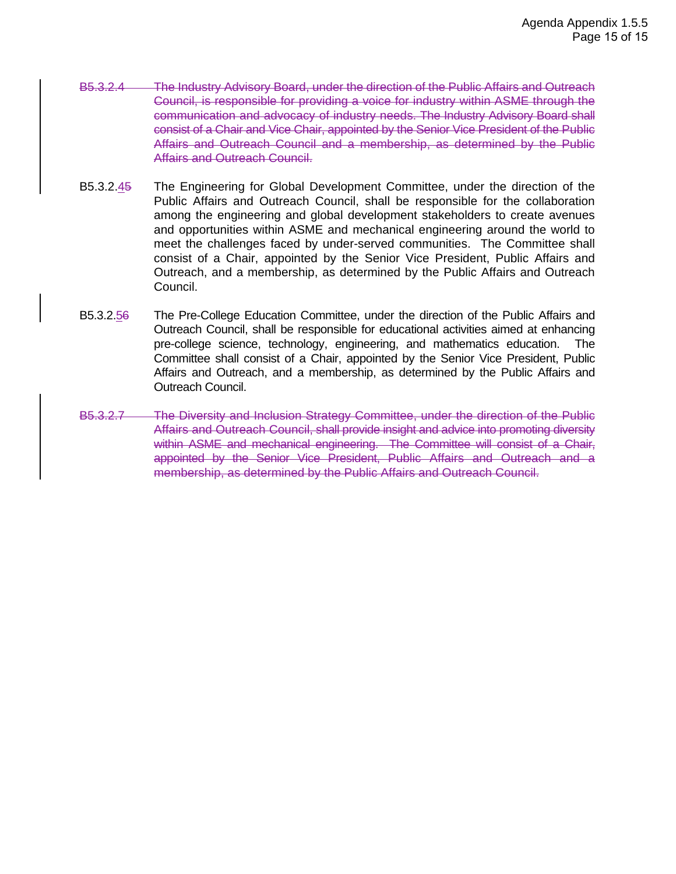- B5.3.2.4 The Industry Advisory Board, under the direction of the Public Affairs and Outreach Council, is responsible for providing a voice for industry within ASME through the communication and advocacy of industry needs. The Industry Advisory Board shall consist of a Chair and Vice Chair, appointed by the Senior Vice President of the Public Affairs and Outreach Council and a membership, as determined by the Public Affairs and Outreach Council.
- B5.3.2.45 The Engineering for Global Development Committee, under the direction of the Public Affairs and Outreach Council, shall be responsible for the collaboration among the engineering and global development stakeholders to create avenues and opportunities within ASME and mechanical engineering around the world to meet the challenges faced by under-served communities. The Committee shall consist of a Chair, appointed by the Senior Vice President, Public Affairs and Outreach, and a membership, as determined by the Public Affairs and Outreach Council.
- B5.3.2.56 The Pre-College Education Committee, under the direction of the Public Affairs and Outreach Council, shall be responsible for educational activities aimed at enhancing pre-college science, technology, engineering, and mathematics education. The Committee shall consist of a Chair, appointed by the Senior Vice President, Public Affairs and Outreach, and a membership, as determined by the Public Affairs and Outreach Council.
- B5.3.2.7 The Diversity and Inclusion Strategy Committee, under the direction of the Public Affairs and Outreach Council, shall provide insight and advice into promoting diversity within ASME and mechanical engineering. The Committee will consist of a Chair, appointed by the Senior Vice President, Public Affairs and Outreach and a membership, as determined by the Public Affairs and Outreach Council.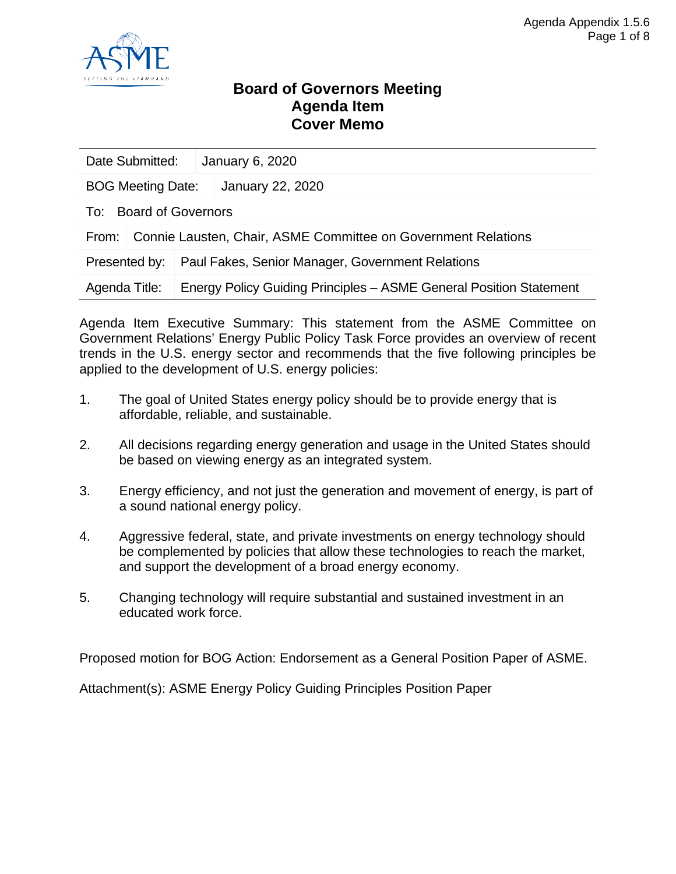

### **Board of Governors Meeting Agenda Item Cover Memo**

| Date Submitted:          |                                                               |  | January 6, 2020                                                    |
|--------------------------|---------------------------------------------------------------|--|--------------------------------------------------------------------|
| <b>BOG Meeting Date:</b> |                                                               |  | January 22, 2020                                                   |
| To: I                    | <b>Board of Governors</b>                                     |  |                                                                    |
| From:                    | Connie Lausten, Chair, ASME Committee on Government Relations |  |                                                                    |
| Presented by:            |                                                               |  | Paul Fakes, Senior Manager, Government Relations                   |
| Agenda Title:            |                                                               |  | Energy Policy Guiding Principles - ASME General Position Statement |

Agenda Item Executive Summary: This statement from the ASME Committee on Government Relations' Energy Public Policy Task Force provides an overview of recent trends in the U.S. energy sector and recommends that the five following principles be applied to the development of U.S. energy policies:

- 1. The goal of United States energy policy should be to provide energy that is affordable, reliable, and sustainable.
- 2. All decisions regarding energy generation and usage in the United States should be based on viewing energy as an integrated system.
- 3. Energy efficiency, and not just the generation and movement of energy, is part of a sound national energy policy.
- 4. Aggressive federal, state, and private investments on energy technology should be complemented by policies that allow these technologies to reach the market, and support the development of a broad energy economy.
- 5. Changing technology will require substantial and sustained investment in an educated work force.

Proposed motion for BOG Action: Endorsement as a General Position Paper of ASME.

Attachment(s): ASME Energy Policy Guiding Principles Position Paper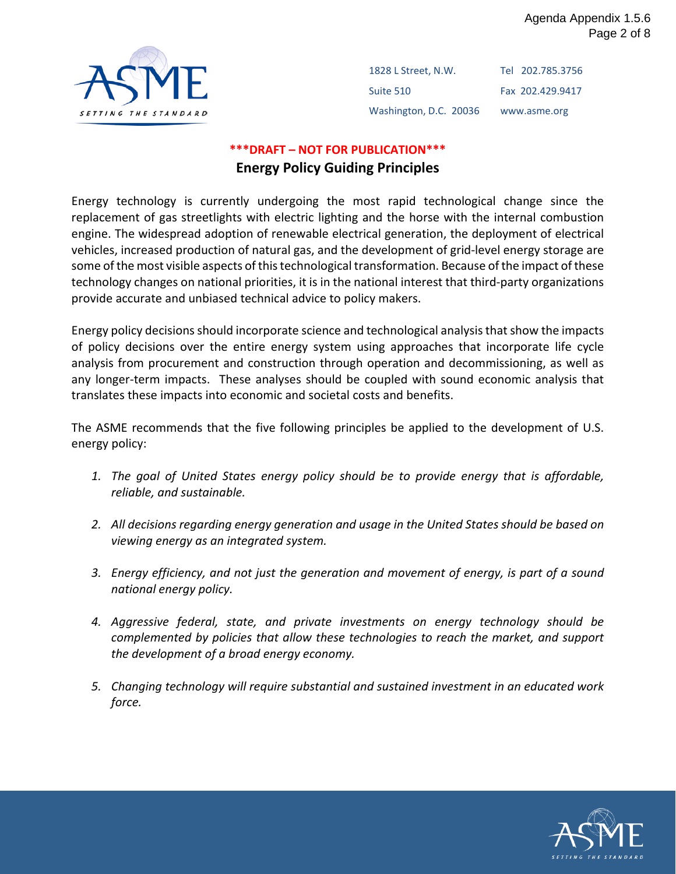

1828 L Street, N.W. Suite 510 Washington, D.C. 20036 Tel 202.785.3756 Fax 202.429.9417 www.asme.org

### **\*\*\*DRAFT – NOT FOR PUBLICATION\*\*\* Energy Policy Guiding Principles**

Energy technology is currently undergoing the most rapid technological change since the replacement of gas streetlights with electric lighting and the horse with the internal combustion engine. The widespread adoption of renewable electrical generation, the deployment of electrical vehicles, increased production of natural gas, and the development of grid-level energy storage are some of the most visible aspects of this technological transformation. Because of the impact of these technology changes on national priorities, it is in the national interest that third-party organizations provide accurate and unbiased technical advice to policy makers.

Energy policy decisions should incorporate science and technological analysis that show the impacts of policy decisions over the entire energy system using approaches that incorporate life cycle analysis from procurement and construction through operation and decommissioning, as well as any longer-term impacts. These analyses should be coupled with sound economic analysis that translates these impacts into economic and societal costs and benefits.

The ASME recommends that the five following principles be applied to the development of U.S. energy policy:

- *1. The goal of United States energy policy should be to provide energy that is affordable, reliable, and sustainable.*
- *2. All decisions regarding energy generation and usage in the United States should be based on viewing energy as an integrated system.*
- *3. Energy efficiency, and not just the generation and movement of energy, is part of a sound national energy policy.*
- *4. Aggressive federal, state, and private investments on energy technology should be complemented by policies that allow these technologies to reach the market, and support the development of a broad energy economy.*
- *5. Changing technology will require substantial and sustained investment in an educated work force.*

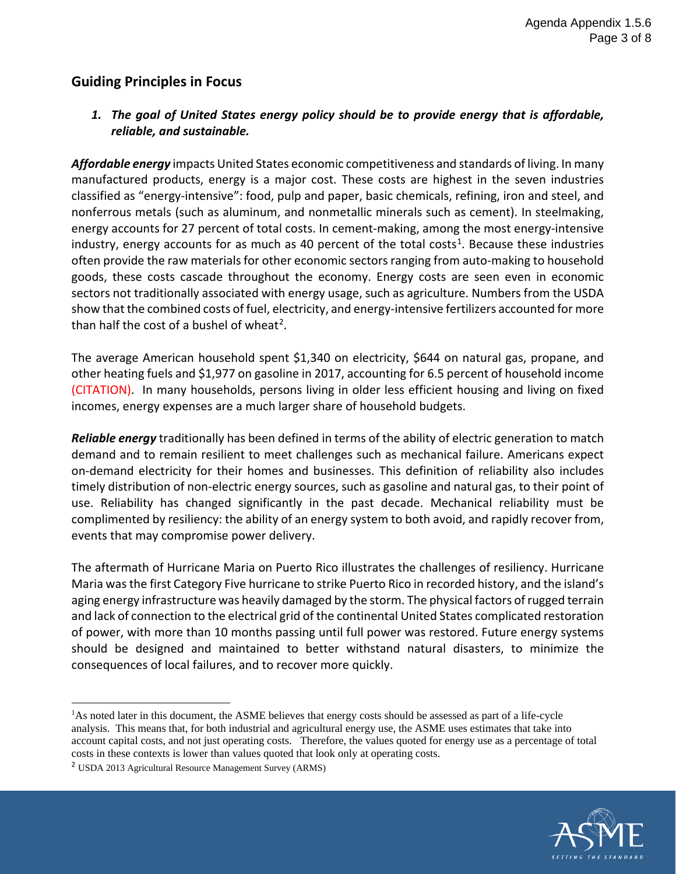### **Guiding Principles in Focus**

#### *1. The goal of United States energy policy should be to provide energy that is affordable, reliable, and sustainable.*

*Affordable energy* impacts United States economic competitiveness and standards of living. In many manufactured products, energy is a major cost. These costs are highest in the seven industries classified as "energy-intensive": food, pulp and paper, basic chemicals, refining, iron and steel, and nonferrous metals (such as aluminum, and nonmetallic minerals such as cement). In steelmaking, energy accounts for 27 percent of total costs. In cement-making, among the most energy-intensive industry, energy accounts for as much as 40 percent of the total costs<sup>[1](#page-39-0)</sup>. Because these industries often provide the raw materials for other economic sectors ranging from auto-making to household goods, these costs cascade throughout the economy. Energy costs are seen even in economic sectors not traditionally associated with energy usage, such as agriculture. Numbers from the USDA show that the combined costs of fuel, electricity, and energy-intensive fertilizers accounted for more than half the cost of a bushel of wheat<sup>[2](#page-39-1)</sup>.

The average American household spent \$1,340 on electricity, \$644 on natural gas, propane, and other heating fuels and \$1,977 on gasoline in 2017, accounting for 6.5 percent of household income (CITATION). In many households, persons living in older less efficient housing and living on fixed incomes, energy expenses are a much larger share of household budgets.

*Reliable energy* traditionally has been defined in terms of the ability of electric generation to match demand and to remain resilient to meet challenges such as mechanical failure. Americans expect on-demand electricity for their homes and businesses. This definition of reliability also includes timely distribution of non-electric energy sources, such as gasoline and natural gas, to their point of use. Reliability has changed significantly in the past decade. Mechanical reliability must be complimented by resiliency: the ability of an energy system to both avoid, and rapidly recover from, events that may compromise power delivery.

The aftermath of Hurricane Maria on Puerto Rico illustrates the challenges of resiliency. Hurricane Maria was the first Category Five hurricane to strike Puerto Rico in recorded history, and the island's aging energy infrastructure was heavily damaged by the storm. The physical factors of rugged terrain and lack of connection to the electrical grid of the continental United States complicated restoration of power, with more than 10 months passing until full power was restored. Future energy systems should be designed and maintained to better withstand natural disasters, to minimize the consequences of local failures, and to recover more quickly.



<span id="page-39-0"></span><sup>&</sup>lt;sup>1</sup>As noted later in this document, the ASME believes that energy costs should be assessed as part of a life-cycle analysis. This means that, for both industrial and agricultural energy use, the ASME uses estimates that take into account capital costs, and not just operating costs. Therefore, the values quoted for energy use as a percentage of total costs in these contexts is lower than values quoted that look only at operating costs.

<span id="page-39-1"></span><sup>2</sup> USDA 2013 [Agricultural Resource Management Survey](http://ers.usda.gov/data-products/arms-farm-financial-and-crop-production-practices.aspx#.VCLYCfldWCm) (ARMS)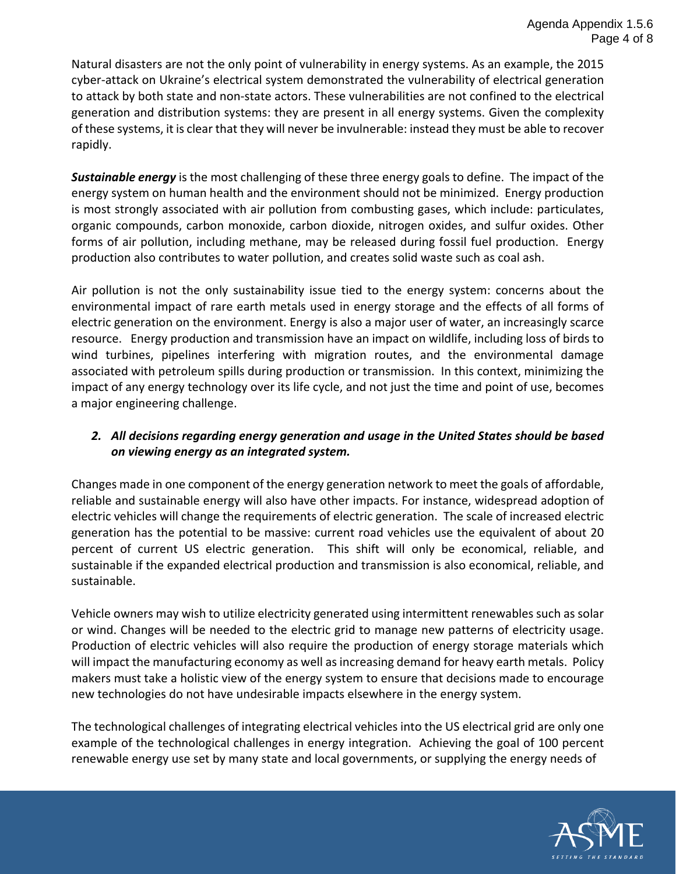Natural disasters are not the only point of vulnerability in energy systems. As an example, the 2015 cyber-attack on Ukraine's electrical system demonstrated the vulnerability of electrical generation to attack by both state and non-state actors. These vulnerabilities are not confined to the electrical generation and distribution systems: they are present in all energy systems. Given the complexity of these systems, it is clear that they will never be invulnerable: instead they must be able to recover rapidly.

*Sustainable energy* is the most challenging of these three energy goals to define. The impact of the energy system on human health and the environment should not be minimized. Energy production is most strongly associated with air pollution from combusting gases, which include: particulates, organic compounds, carbon monoxide, carbon dioxide, nitrogen oxides, and sulfur oxides. Other forms of air pollution, including methane, may be released during fossil fuel production. Energy production also contributes to water pollution, and creates solid waste such as coal ash.

Air pollution is not the only sustainability issue tied to the energy system: concerns about the environmental impact of rare earth metals used in energy storage and the effects of all forms of electric generation on the environment. Energy is also a major user of water, an increasingly scarce resource. Energy production and transmission have an impact on wildlife, including loss of birds to wind turbines, pipelines interfering with migration routes, and the environmental damage associated with petroleum spills during production or transmission. In this context, minimizing the impact of any energy technology over its life cycle, and not just the time and point of use, becomes a major engineering challenge.

#### *2. All decisions regarding energy generation and usage in the United States should be based on viewing energy as an integrated system.*

Changes made in one component of the energy generation network to meet the goals of affordable, reliable and sustainable energy will also have other impacts. For instance, widespread adoption of electric vehicles will change the requirements of electric generation. The scale of increased electric generation has the potential to be massive: current road vehicles use the equivalent of about 20 percent of current US electric generation. This shift will only be economical, reliable, and sustainable if the expanded electrical production and transmission is also economical, reliable, and sustainable.

Vehicle owners may wish to utilize electricity generated using intermittent renewables such as solar or wind. Changes will be needed to the electric grid to manage new patterns of electricity usage. Production of electric vehicles will also require the production of energy storage materials which will impact the manufacturing economy as well as increasing demand for heavy earth metals. Policy makers must take a holistic view of the energy system to ensure that decisions made to encourage new technologies do not have undesirable impacts elsewhere in the energy system.

The technological challenges of integrating electrical vehicles into the US electrical grid are only one example of the technological challenges in energy integration. Achieving the goal of 100 percent renewable energy use set by many state and local governments, or supplying the energy needs of

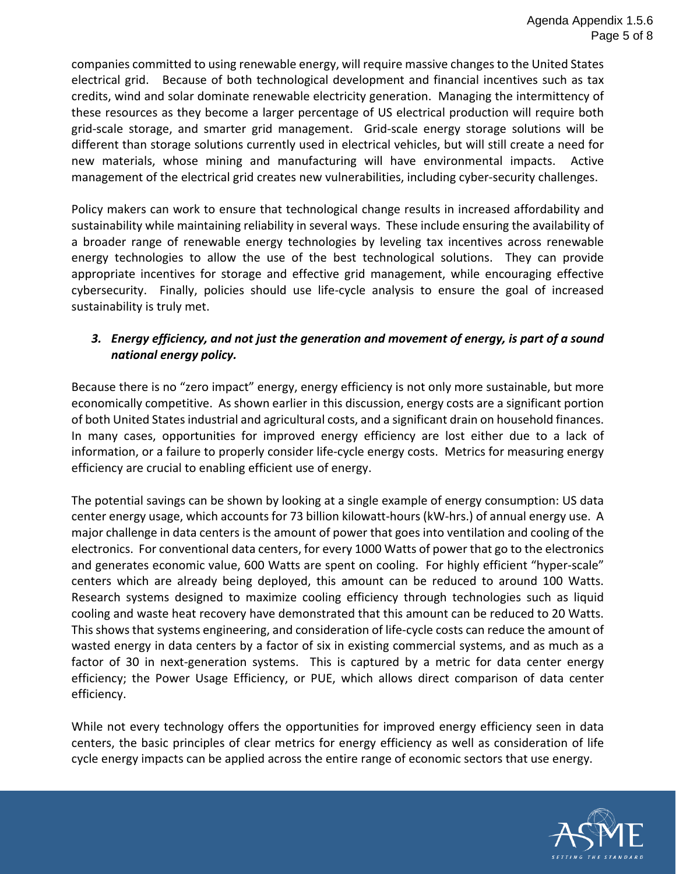companies committed to using renewable energy, will require massive changes to the United States electrical grid. Because of both technological development and financial incentives such as tax credits, wind and solar dominate renewable electricity generation. Managing the intermittency of these resources as they become a larger percentage of US electrical production will require both grid-scale storage, and smarter grid management. Grid-scale energy storage solutions will be different than storage solutions currently used in electrical vehicles, but will still create a need for new materials, whose mining and manufacturing will have environmental impacts. Active management of the electrical grid creates new vulnerabilities, including cyber-security challenges.

Policy makers can work to ensure that technological change results in increased affordability and sustainability while maintaining reliability in several ways. These include ensuring the availability of a broader range of renewable energy technologies by leveling tax incentives across renewable energy technologies to allow the use of the best technological solutions. They can provide appropriate incentives for storage and effective grid management, while encouraging effective cybersecurity. Finally, policies should use life-cycle analysis to ensure the goal of increased sustainability is truly met.

#### *3. Energy efficiency, and not just the generation and movement of energy, is part of a sound national energy policy.*

Because there is no "zero impact" energy, energy efficiency is not only more sustainable, but more economically competitive. As shown earlier in this discussion, energy costs are a significant portion of both United States industrial and agricultural costs, and a significant drain on household finances. In many cases, opportunities for improved energy efficiency are lost either due to a lack of information, or a failure to properly consider life-cycle energy costs. Metrics for measuring energy efficiency are crucial to enabling efficient use of energy.

The potential savings can be shown by looking at a single example of energy consumption: US data center energy usage, which accounts for 73 billion kilowatt-hours (kW-hrs.) of annual energy use. A major challenge in data centers is the amount of power that goes into ventilation and cooling of the electronics. For conventional data centers, for every 1000 Watts of power that go to the electronics and generates economic value, 600 Watts are spent on cooling. For highly efficient "hyper-scale" centers which are already being deployed, this amount can be reduced to around 100 Watts. Research systems designed to maximize cooling efficiency through technologies such as liquid cooling and waste heat recovery have demonstrated that this amount can be reduced to 20 Watts. This shows that systems engineering, and consideration of life-cycle costs can reduce the amount of wasted energy in data centers by a factor of six in existing commercial systems, and as much as a factor of 30 in next-generation systems. This is captured by a metric for data center energy efficiency; the Power Usage Efficiency, or PUE, which allows direct comparison of data center efficiency.

While not every technology offers the opportunities for improved energy efficiency seen in data centers, the basic principles of clear metrics for energy efficiency as well as consideration of life cycle energy impacts can be applied across the entire range of economic sectors that use energy.

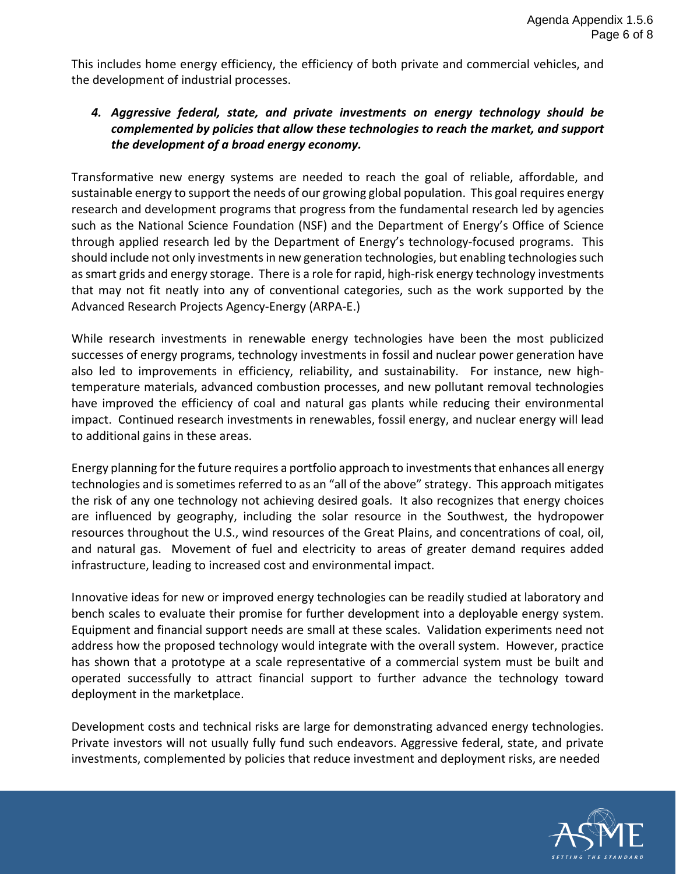This includes home energy efficiency, the efficiency of both private and commercial vehicles, and the development of industrial processes.

#### *4. Aggressive federal, state, and private investments on energy technology should be complemented by policies that allow these technologies to reach the market, and support the development of a broad energy economy.*

Transformative new energy systems are needed to reach the goal of reliable, affordable, and sustainable energy to support the needs of our growing global population. This goal requires energy research and development programs that progress from the fundamental research led by agencies such as the National Science Foundation (NSF) and the Department of Energy's Office of Science through applied research led by the Department of Energy's technology-focused programs. This should include not only investments in new generation technologies, but enabling technologies such as smart grids and energy storage. There is a role for rapid, high-risk energy technology investments that may not fit neatly into any of conventional categories, such as the work supported by the Advanced Research Projects Agency-Energy (ARPA-E.)

While research investments in renewable energy technologies have been the most publicized successes of energy programs, technology investments in fossil and nuclear power generation have also led to improvements in efficiency, reliability, and sustainability. For instance, new hightemperature materials, advanced combustion processes, and new pollutant removal technologies have improved the efficiency of coal and natural gas plants while reducing their environmental impact. Continued research investments in renewables, fossil energy, and nuclear energy will lead to additional gains in these areas.

Energy planning for the future requires a portfolio approach to investments that enhances all energy technologies and is sometimes referred to as an "all of the above" strategy. This approach mitigates the risk of any one technology not achieving desired goals. It also recognizes that energy choices are influenced by geography, including the solar resource in the Southwest, the hydropower resources throughout the U.S., wind resources of the Great Plains, and concentrations of coal, oil, and natural gas. Movement of fuel and electricity to areas of greater demand requires added infrastructure, leading to increased cost and environmental impact.

Innovative ideas for new or improved energy technologies can be readily studied at laboratory and bench scales to evaluate their promise for further development into a deployable energy system. Equipment and financial support needs are small at these scales. Validation experiments need not address how the proposed technology would integrate with the overall system. However, practice has shown that a prototype at a scale representative of a commercial system must be built and operated successfully to attract financial support to further advance the technology toward deployment in the marketplace.

Development costs and technical risks are large for demonstrating advanced energy technologies. Private investors will not usually fully fund such endeavors. Aggressive federal, state, and private investments, complemented by policies that reduce investment and deployment risks, are needed

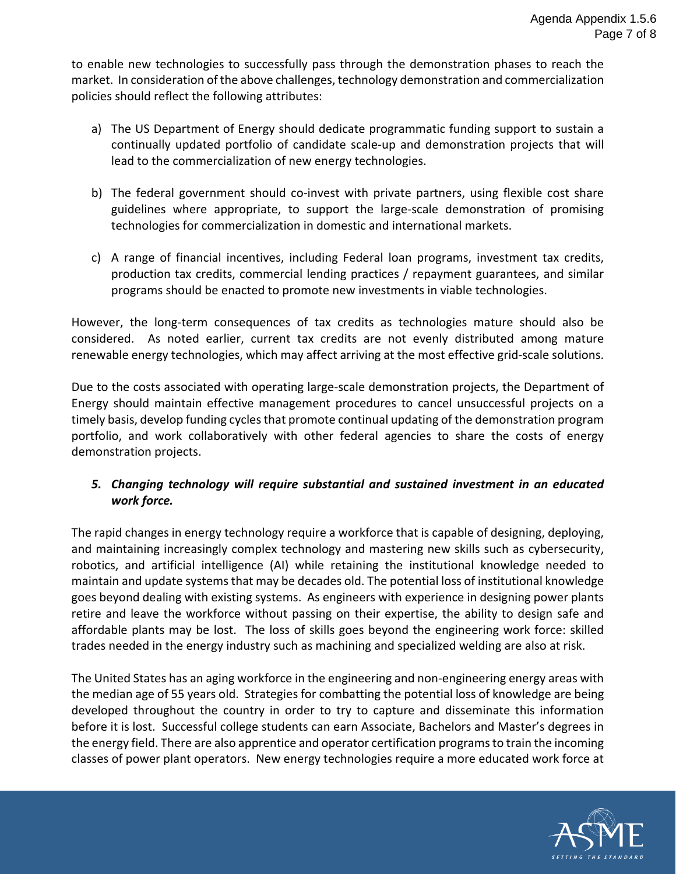to enable new technologies to successfully pass through the demonstration phases to reach the market. In consideration of the above challenges, technology demonstration and commercialization policies should reflect the following attributes:

- a) The US Department of Energy should dedicate programmatic funding support to sustain a continually updated portfolio of candidate scale-up and demonstration projects that will lead to the commercialization of new energy technologies.
- b) The federal government should co-invest with private partners, using flexible cost share guidelines where appropriate, to support the large-scale demonstration of promising technologies for commercialization in domestic and international markets.
- c) A range of financial incentives, including Federal loan programs, investment tax credits, production tax credits, commercial lending practices / repayment guarantees, and similar programs should be enacted to promote new investments in viable technologies.

However, the long-term consequences of tax credits as technologies mature should also be considered. As noted earlier, current tax credits are not evenly distributed among mature renewable energy technologies, which may affect arriving at the most effective grid-scale solutions.

Due to the costs associated with operating large-scale demonstration projects, the Department of Energy should maintain effective management procedures to cancel unsuccessful projects on a timely basis, develop funding cycles that promote continual updating of the demonstration program portfolio, and work collaboratively with other federal agencies to share the costs of energy demonstration projects.

#### *5. Changing technology will require substantial and sustained investment in an educated work force.*

The rapid changes in energy technology require a workforce that is capable of designing, deploying, and maintaining increasingly complex technology and mastering new skills such as cybersecurity, robotics, and artificial intelligence (AI) while retaining the institutional knowledge needed to maintain and update systems that may be decades old. The potential loss of institutional knowledge goes beyond dealing with existing systems. As engineers with experience in designing power plants retire and leave the workforce without passing on their expertise, the ability to design safe and affordable plants may be lost. The loss of skills goes beyond the engineering work force: skilled trades needed in the energy industry such as machining and specialized welding are also at risk.

The United States has an aging workforce in the engineering and non-engineering energy areas with the median age of 55 years old. Strategies for combatting the potential loss of knowledge are being developed throughout the country in order to try to capture and disseminate this information before it is lost. Successful college students can earn Associate, Bachelors and Master's degrees in the energy field. There are also apprentice and operator certification programs to train the incoming classes of power plant operators. New energy technologies require a more educated work force at

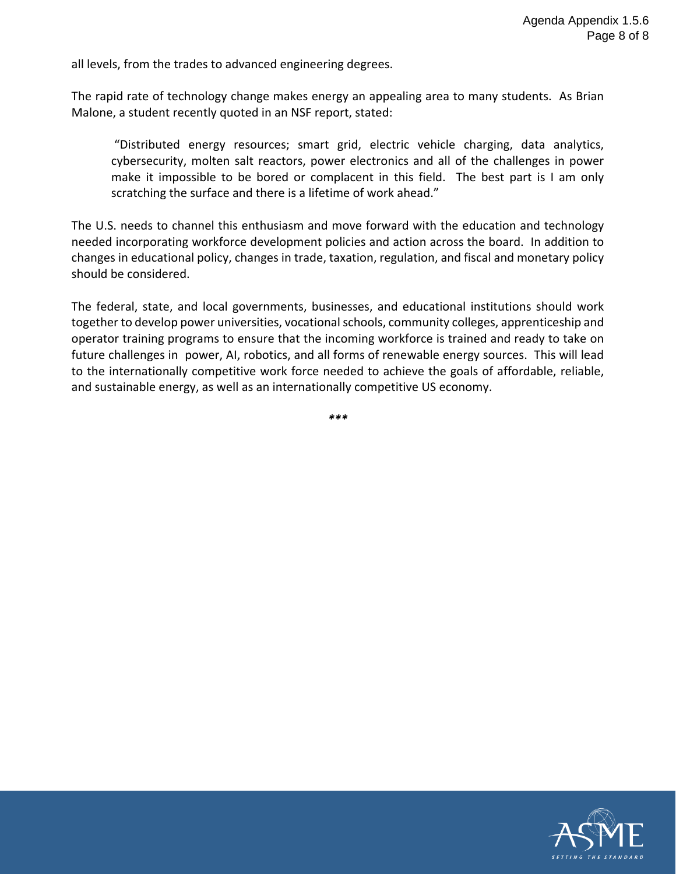all levels, from the trades to advanced engineering degrees.

The rapid rate of technology change makes energy an appealing area to many students. As Brian Malone, a student recently quoted in an NSF report, stated:

"Distributed energy resources; smart grid, electric vehicle charging, data analytics, cybersecurity, molten salt reactors, power electronics and all of the challenges in power make it impossible to be bored or complacent in this field. The best part is I am only scratching the surface and there is a lifetime of work ahead."

The U.S. needs to channel this enthusiasm and move forward with the education and technology needed incorporating workforce development policies and action across the board. In addition to changes in educational policy, changes in trade, taxation, regulation, and fiscal and monetary policy should be considered.

The federal, state, and local governments, businesses, and educational institutions should work together to develop power universities, vocational schools, community colleges, apprenticeship and operator training programs to ensure that the incoming workforce is trained and ready to take on future challenges in power, AI, robotics, and all forms of renewable energy sources. This will lead to the internationally competitive work force needed to achieve the goals of affordable, reliable, and sustainable energy, as well as an internationally competitive US economy.

*\*\*\**

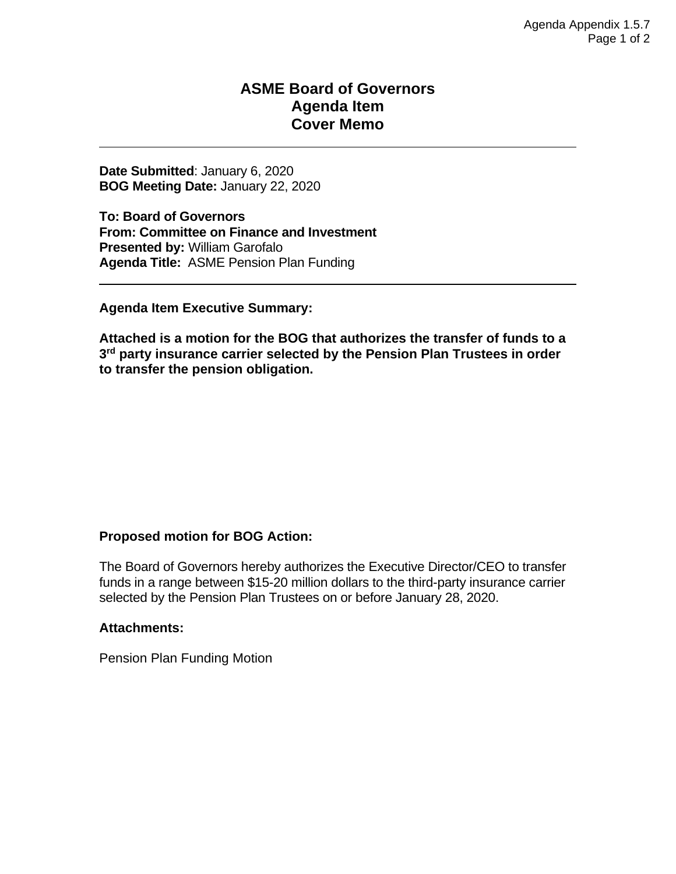### **ASME Board of Governors Agenda Item Cover Memo**

**Date Submitted**: January 6, 2020 **BOG Meeting Date:** January 22, 2020

**To: Board of Governors From: Committee on Finance and Investment Presented by:** William Garofalo **Agenda Title:** ASME Pension Plan Funding

**Agenda Item Executive Summary:**

**Attached is a motion for the BOG that authorizes the transfer of funds to a 3rd party insurance carrier selected by the Pension Plan Trustees in order to transfer the pension obligation.**

#### **Proposed motion for BOG Action:**

The Board of Governors hereby authorizes the Executive Director/CEO to transfer funds in a range between \$15-20 million dollars to the third-party insurance carrier selected by the Pension Plan Trustees on or before January 28, 2020.

#### **Attachments:**

Pension Plan Funding Motion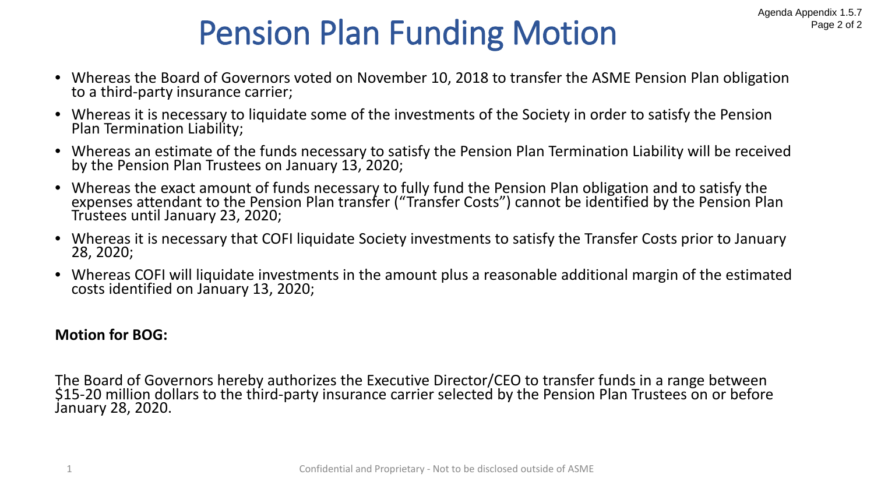# Pension Plan Funding Motion

- Whereas the Board of Governors voted on November 10, 2018 to transfer the ASME Pension Plan obligation to a third-party insurance carrier;
- Whereas it is necessary to liquidate some of the investments of the Society in order to satisfy the Pension Plan Termination Liability;
- Whereas an estimate of the funds necessary to satisfy the Pension Plan Termination Liability will be received by the Pension Plan Trustees on January 13, 2020;
- Whereas the exact amount of funds necessary to fully fund the Pension Plan obligation and to satisfy the expenses attendant to the Pension Plan transfer ("Transfer Costs") cannot be identified by the Pension Plan Trustees until January 23, 2020;
- Whereas it is necessary that COFI liquidate Society investments to satisfy the Transfer Costs prior to January 28, 2020;
- Whereas COFI will liquidate investments in the amount plus a reasonable additional margin of the estimated costs identified on January 13, 2020;

## **Motion for BOG:**

The Board of Governors hereby authorizes the Executive Director/CEO to transfer funds in a range between \$15-20 million dollars to the third-party insurance carrier selected by the Pension Plan Trustees on or before January 28, 2020.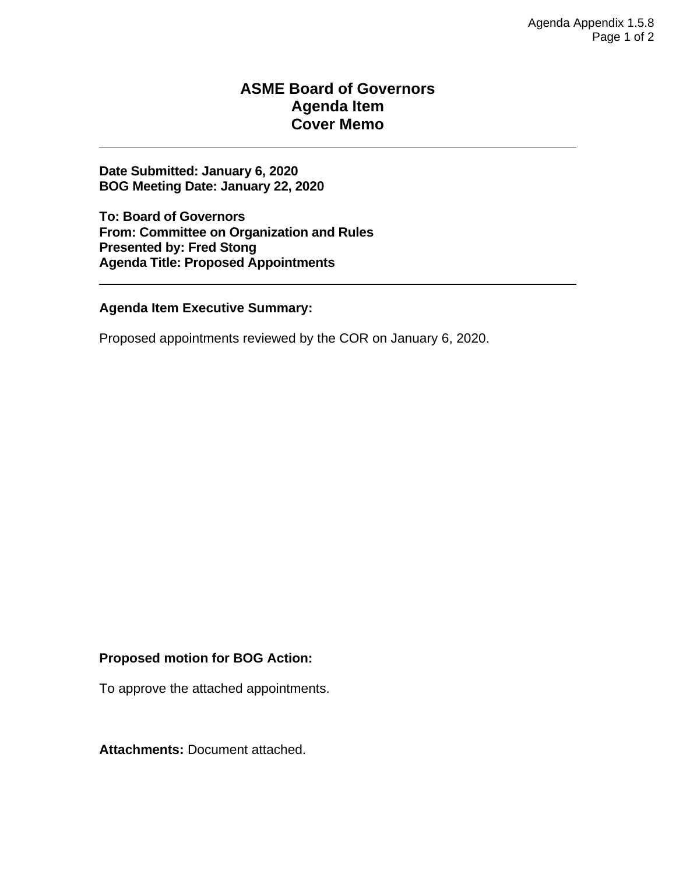### **ASME Board of Governors Agenda Item Cover Memo**

**Date Submitted: January 6, 2020 BOG Meeting Date: January 22, 2020**

**To: Board of Governors From: Committee on Organization and Rules Presented by: Fred Stong Agenda Title: Proposed Appointments** 

**Agenda Item Executive Summary:**

Proposed appointments reviewed by the COR on January 6, 2020.

#### **Proposed motion for BOG Action:**

To approve the attached appointments.

**Attachments:** Document attached.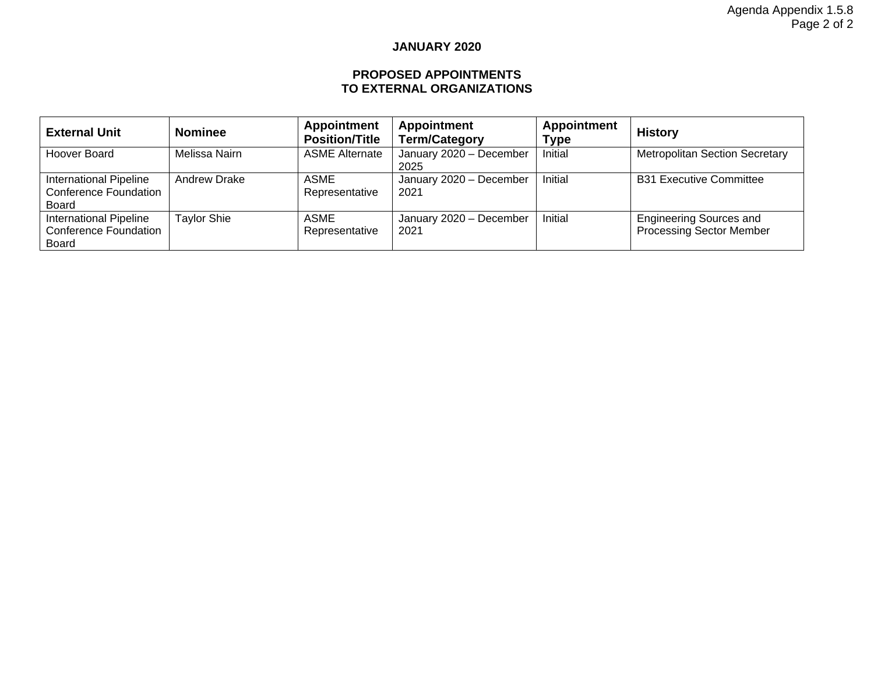#### **JANUARY 2020**

#### **PROPOSED APPOINTMENTS TO EXTERNAL ORGANIZATIONS**

| <b>External Unit</b>                                                          | <b>Nominee</b>      | Appointment<br><b>Position/Title</b> | Appointment<br><b>Term/Category</b> | <b>Appointment</b><br>Type | <b>History</b>                                                    |
|-------------------------------------------------------------------------------|---------------------|--------------------------------------|-------------------------------------|----------------------------|-------------------------------------------------------------------|
| Hoover Board                                                                  | Melissa Nairn       | <b>ASME Alternate</b>                | January 2020 - December<br>2025     | Initial                    | <b>Metropolitan Section Secretary</b>                             |
| International Pipeline<br><b>Conference Foundation</b><br><b>Board</b>        | <b>Andrew Drake</b> | ASME<br>Representative               | January 2020 - December<br>2021     | Initial                    | <b>B31 Executive Committee</b>                                    |
| <b>International Pipeline</b><br><b>Conference Foundation</b><br><b>Board</b> | <b>Taylor Shie</b>  | ASME<br>Representative               | January 2020 - December<br>2021     | Initial                    | <b>Engineering Sources and</b><br><b>Processing Sector Member</b> |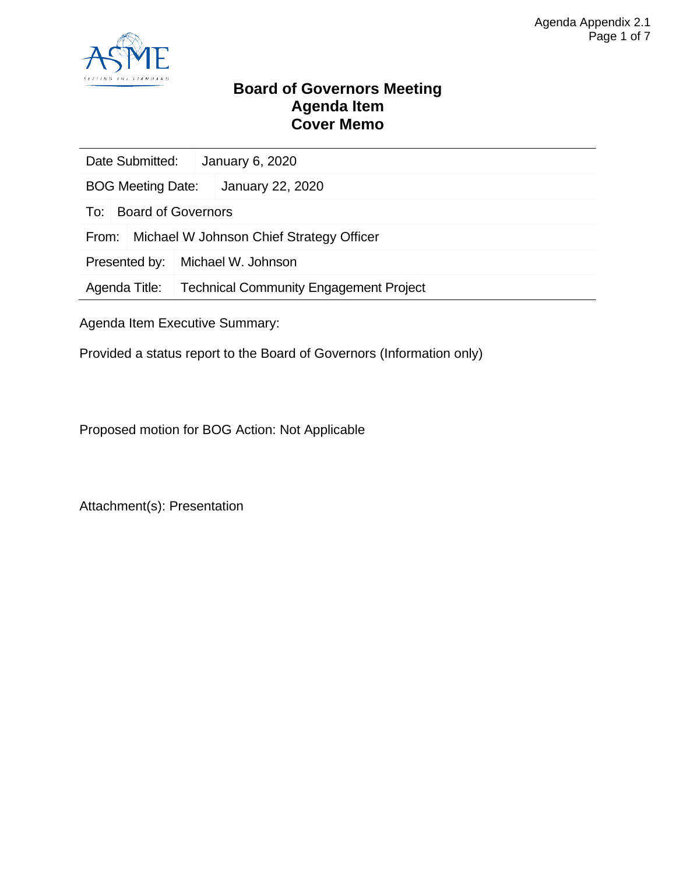

### **Board of Governors Meeting Agenda Item Cover Memo**

| Date Submitted:          |                           | January 6, 2020                               |  |  |
|--------------------------|---------------------------|-----------------------------------------------|--|--|
| <b>BOG Meeting Date:</b> |                           | January 22, 2020                              |  |  |
| To:                      | <b>Board of Governors</b> |                                               |  |  |
| From:                    |                           | Michael W Johnson Chief Strategy Officer      |  |  |
| Presented by:            |                           | Michael W. Johnson                            |  |  |
| Agenda Title:            |                           | <b>Technical Community Engagement Project</b> |  |  |
|                          |                           |                                               |  |  |

Agenda Item Executive Summary:

Provided a status report to the Board of Governors (Information only)

Proposed motion for BOG Action: Not Applicable

Attachment(s): Presentation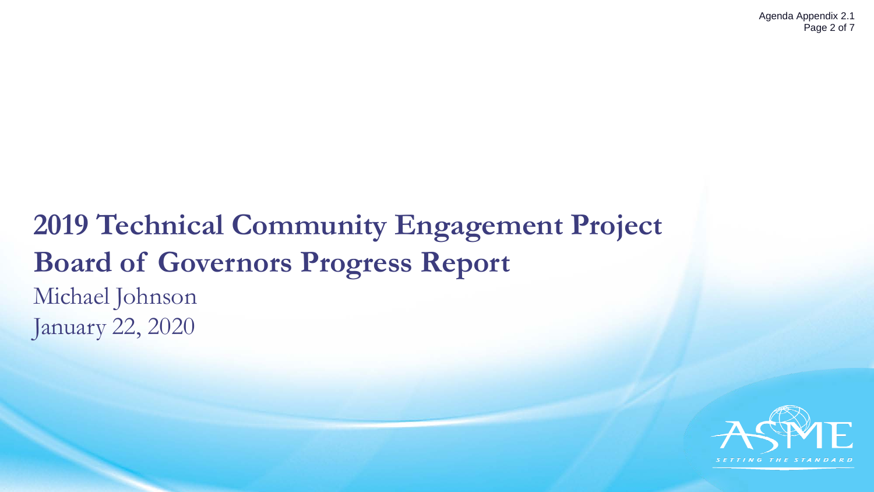# **2019 Technical Community Engagement Project Board of Governors Progress Report** Michael Johnson January 22, 2020

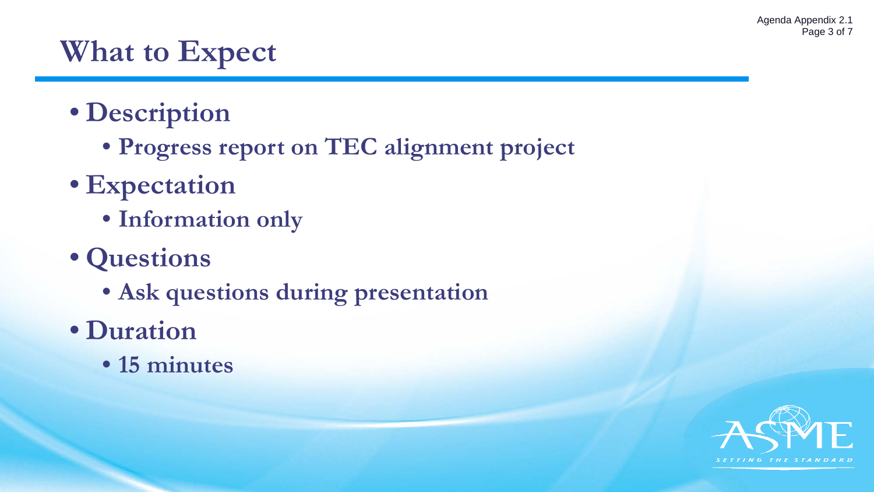# **What to Expect**

- **Description**
	- **Progress report on TEC alignment project**
- **Expectation**
	- **Information only**
- **Questions**
	- **Ask questions during presentation**
- **Duration**
	- **15 minutes**

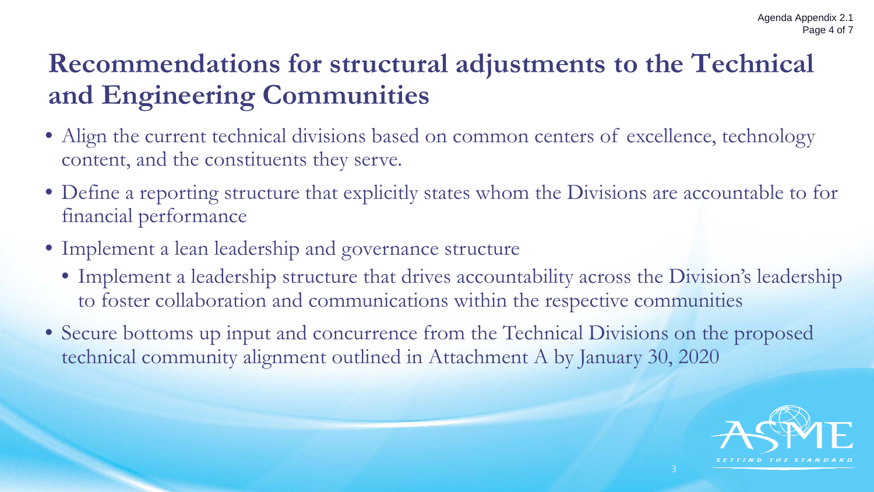# **Recommendations for structural adjustments to the Technical and Engineering Communities**

- Align the current technical divisions based on common centers of excellence, technology content, and the constituents they serve.
- Define a reporting structure that explicitly states whom the Divisions are accountable to for financial performance
- Implement a lean leadership and governance structure
	- Implement a leadership structure that drives accountability across the Division's leadership to foster collaboration and communications within the respective communities
- Secure bottoms up input and concurrence from the Technical Divisions on the proposed technical community alignment outlined in Attachment A by January 30, 2020

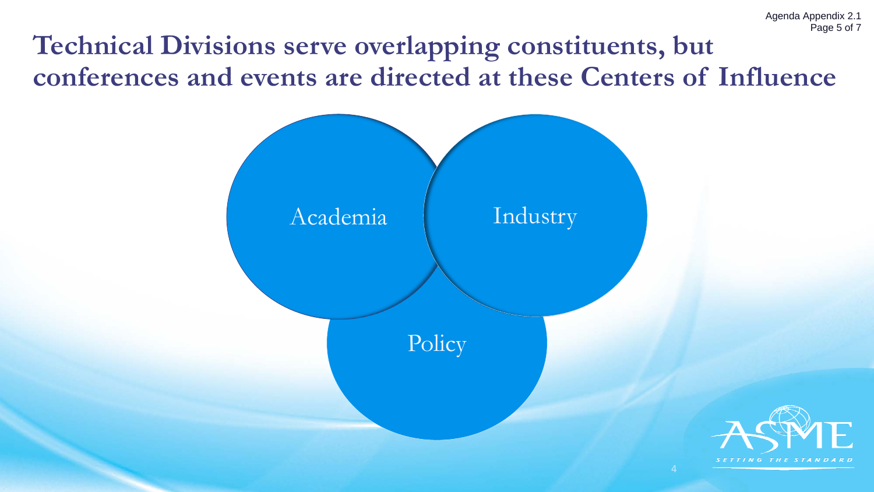# **Technical Divisions serve overlapping constituents, but conferences and events are directed at these Centers of Influence**

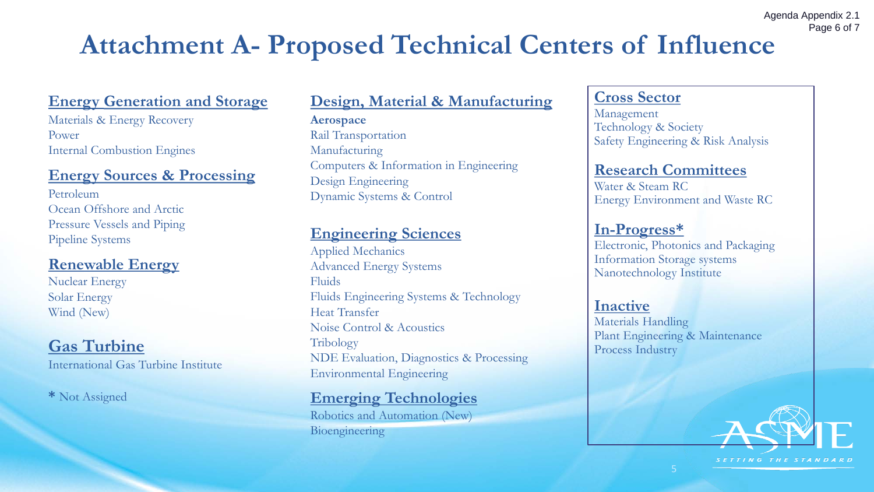# **Attachment A- Proposed Technical Centers of Influence**

## **Energy Generation and Storage**

Materials & Energy Recovery Power Internal Combustion Engines

### **Energy Sources & Processing**

Petroleum Ocean Offshore and Arctic Pressure Vessels and Piping Pipeline Systems

## **Renewable Energy**

Nuclear Energy Solar Energy Wind (New)

## **Gas Turbine**

International Gas Turbine Institute

**\*** Not Assigned

## **Design, Material & Manufacturing**

**Aerospace** Rail Transportation Manufacturing Computers & Information in Engineering Design Engineering Dynamic Systems & Control

## **Engineering Sciences**

Applied Mechanics Advanced Energy Systems Fluids Fluids Engineering Systems & Technology Heat Transfer Noise Control & Acoustics Tribology NDE Evaluation, Diagnostics & Processing Environmental Engineering

## **Emerging Technologies**

Robotics and Automation (New) Bioengineering

### **Cross Sector**

Management Technology & Society Safety Engineering & Risk Analysis

### **Research Committees**

Water & Steam RC Energy Environment and Waste RC

## **In-Progress\***

Electronic, Photonics and Packaging Information Storage systems Nanotechnology Institute

### **Inactive**

Materials Handling Plant Engineering & Maintenance Process Industry



Agenda Appendix 2.1

Page 6 of 7

SETTING THE STANDARD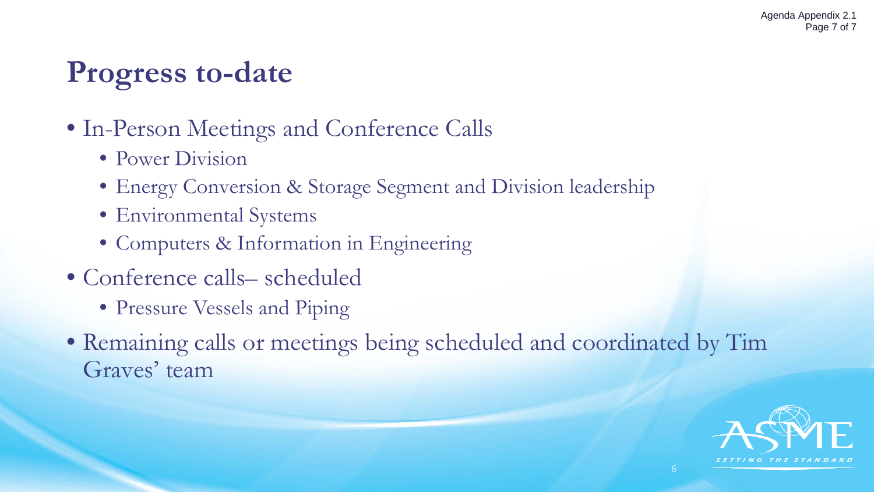# **Progress to-date**

- In-Person Meetings and Conference Calls
	- Power Division
	- Energy Conversion & Storage Segment and Division leadership
	- Environmental Systems
	- Computers & Information in Engineering
- Conference calls– scheduled
	- Pressure Vessels and Piping
- Remaining calls or meetings being scheduled and coordinated by Tim Graves' team

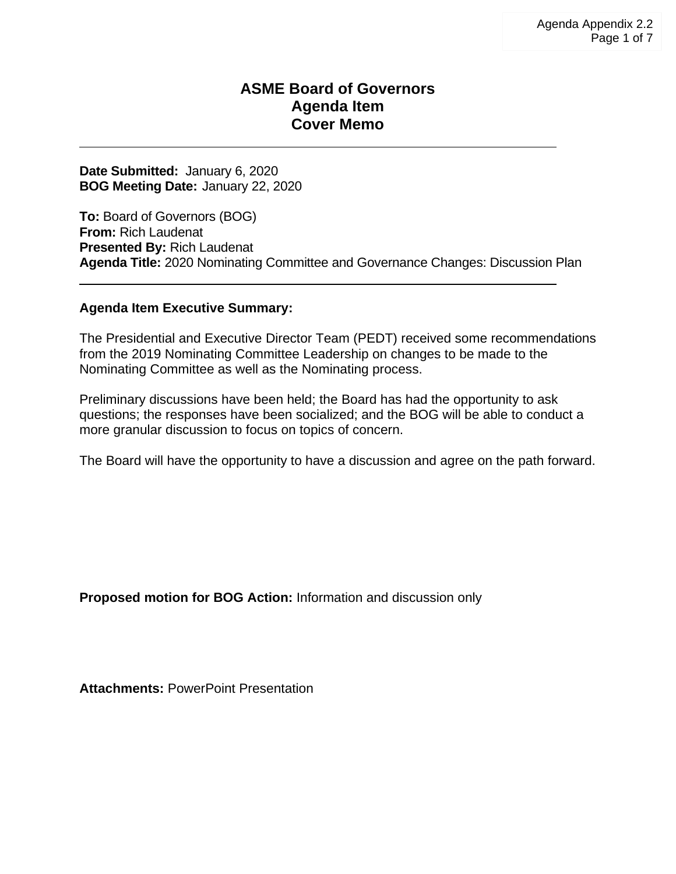### **ASME Board of Governors Agenda Item Cover Memo**

**Date Submitted:** January 6, 2020 **BOG Meeting Date:** January 22, 2020

**To:** Board of Governors (BOG) **From:** Rich Laudenat **Presented By:** Rich Laudenat **Agenda Title:** 2020 Nominating Committee and Governance Changes: Discussion Plan

#### **Agenda Item Executive Summary:**

The Presidential and Executive Director Team (PEDT) received some recommendations from the 2019 Nominating Committee Leadership on changes to be made to the Nominating Committee as well as the Nominating process.

Preliminary discussions have been held; the Board has had the opportunity to ask questions; the responses have been socialized; and the BOG will be able to conduct a more granular discussion to focus on topics of concern.

The Board will have the opportunity to have a discussion and agree on the path forward.

**Proposed motion for BOG Action:** Information and discussion only

**Attachments:** PowerPoint Presentation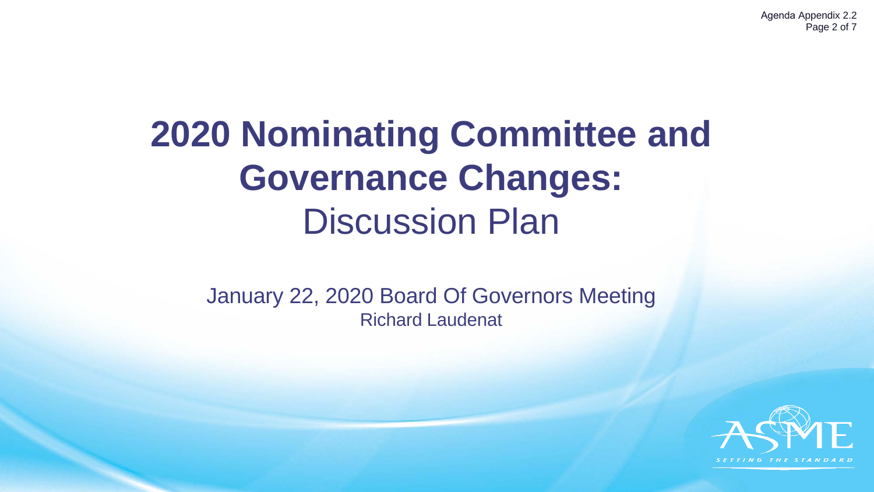Agenda Appendix 2.2 Page 2 of 7

# **2020 Nominating Committee and Governance Changes:** Discussion Plan

January 22, 2020 Board Of Governors Meeting Richard Laudenat

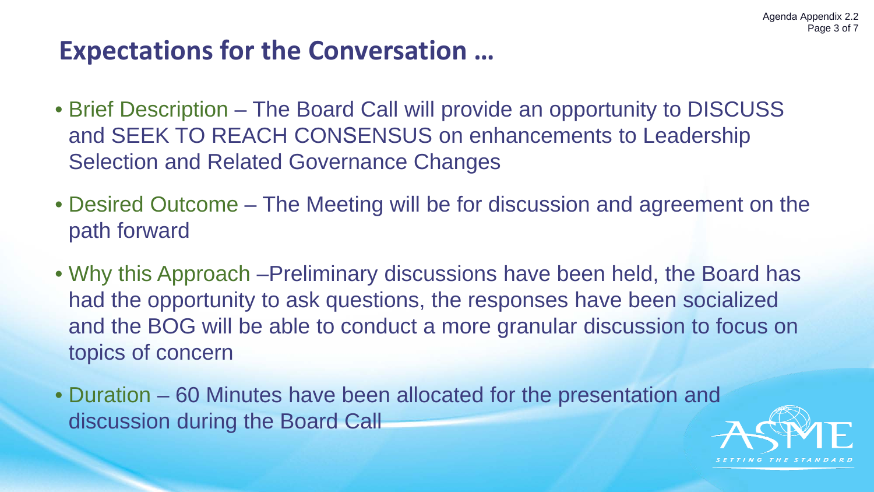## **Expectations for the Conversation …**

- Brief Description The Board Call will provide an opportunity to DISCUSS and SEEK TO REACH CONSENSUS on enhancements to Leadership Selection and Related Governance Changes
- Desired Outcome The Meeting will be for discussion and agreement on the path forward
- Why this Approach –Preliminary discussions have been held, the Board has had the opportunity to ask questions, the responses have been socialized and the BOG will be able to conduct a more granular discussion to focus on topics of concern
- Duration 60 Minutes have been allocated for the presentation and discussion during the Board Call

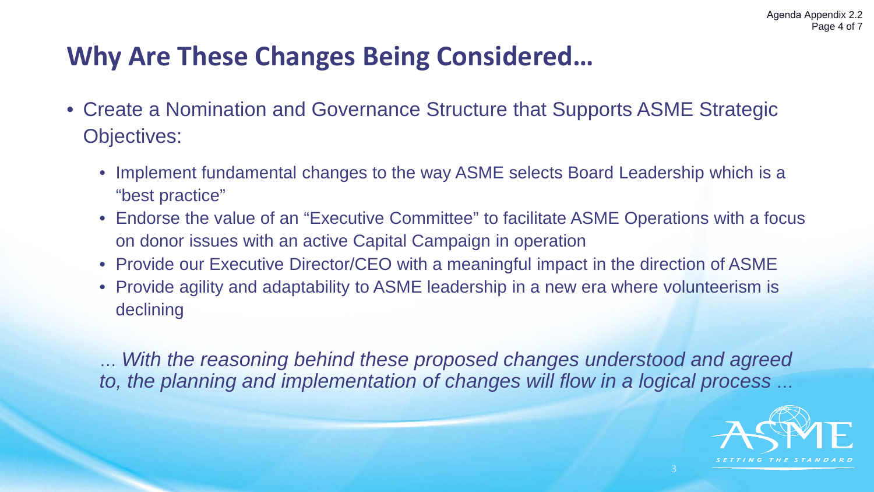## **Why Are These Changes Being Considered…**

- Create a Nomination and Governance Structure that Supports ASME Strategic Objectives:
	- Implement fundamental changes to the way ASME selects Board Leadership which is a "best practice"
	- Endorse the value of an "Executive Committee" to facilitate ASME Operations with a focus on donor issues with an active Capital Campaign in operation
	- Provide our Executive Director/CEO with a meaningful impact in the direction of ASME
	- Provide agility and adaptability to ASME leadership in a new era where volunteerism is declining

… *With the reasoning behind these proposed changes understood and agreed to, the planning and implementation of changes will flow in a logical process* …

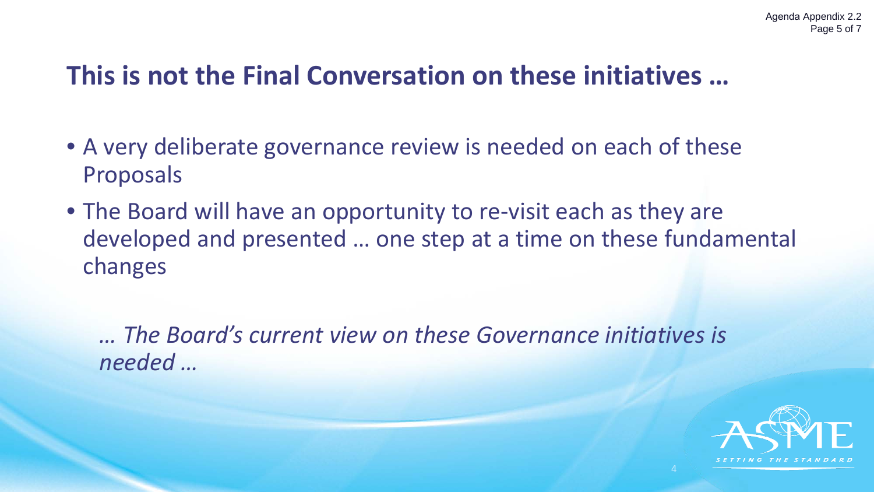# **This is not the Final Conversation on these initiatives …**

- A very deliberate governance review is needed on each of these Proposals
- The Board will have an opportunity to re-visit each as they are developed and presented … one step at a time on these fundamental changes

*… The Board's current view on these Governance initiatives is needed …*

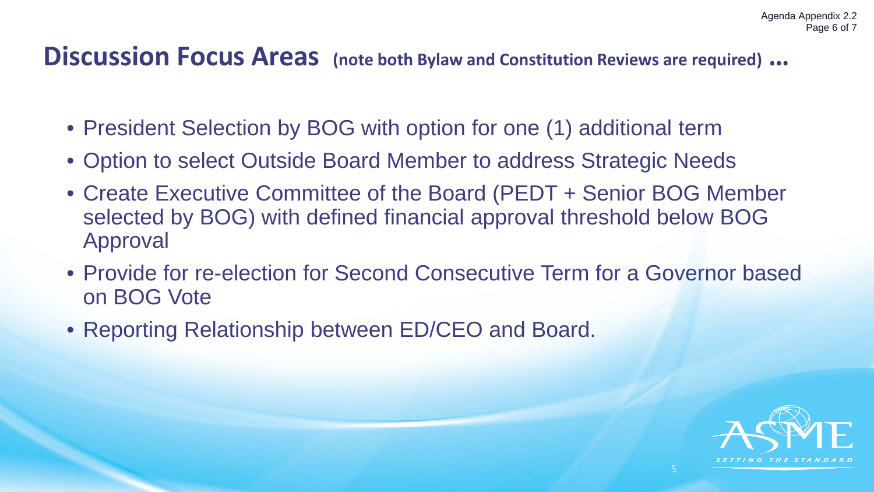## **Discussion Focus Areas (note both Bylaw and Constitution Reviews are required) …**

- President Selection by BOG with option for one (1) additional term
- Option to select Outside Board Member to address Strategic Needs
- Create Executive Committee of the Board (PEDT + Senior BOG Member selected by BOG) with defined financial approval threshold below BOG Approval
- Provide for re-election for Second Consecutive Term for a Governor based on BOG Vote
- Reporting Relationship between ED/CEO and Board.